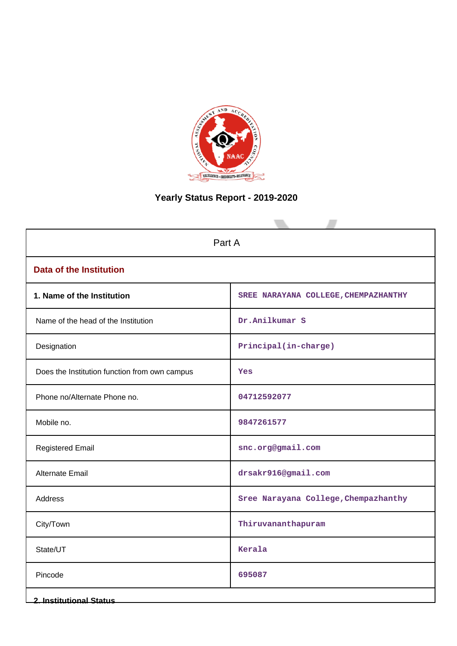

# **Yearly Status Report - 2019-2020**

| Part A                                        |                                      |  |  |  |  |
|-----------------------------------------------|--------------------------------------|--|--|--|--|
| <b>Data of the Institution</b>                |                                      |  |  |  |  |
| 1. Name of the Institution                    | SREE NARAYANA COLLEGE, CHEMPAZHANTHY |  |  |  |  |
| Name of the head of the Institution           | Dr.Anilkumar S                       |  |  |  |  |
| Designation                                   | Principal(in-charge)                 |  |  |  |  |
| Does the Institution function from own campus | Yes                                  |  |  |  |  |
| Phone no/Alternate Phone no.                  | 04712592077                          |  |  |  |  |
| Mobile no.                                    | 9847261577                           |  |  |  |  |
| <b>Registered Email</b>                       | snc.org@gmail.com                    |  |  |  |  |
| <b>Alternate Email</b>                        | drsakr916@gmail.com                  |  |  |  |  |
| <b>Address</b>                                | Sree Narayana College, Chempazhanthy |  |  |  |  |
| City/Town                                     | Thiruvananthapuram                   |  |  |  |  |
| State/UT                                      | Kerala                               |  |  |  |  |
| Pincode                                       | 695087                               |  |  |  |  |
| <b>2. Institutional Status</b>                |                                      |  |  |  |  |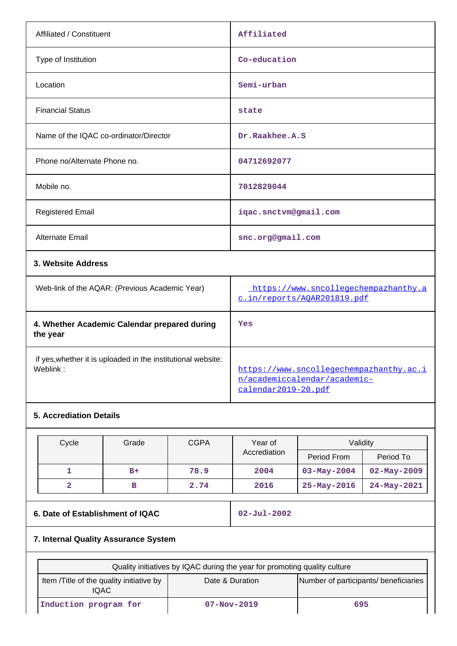| Affiliated / Constituent                       | Affiliated                                                          |
|------------------------------------------------|---------------------------------------------------------------------|
| Type of Institution                            | Co-education                                                        |
| Location                                       | Semi-urban                                                          |
| <b>Financial Status</b>                        | state                                                               |
| Name of the IQAC co-ordinator/Director         | Dr.Raakhee.A.S                                                      |
| Phone no/Alternate Phone no.                   | 04712692077                                                         |
| Mobile no.                                     | 7012829044                                                          |
| <b>Registered Email</b>                        | iqac.snctvm@gmail.com                                               |
| Alternate Email                                | snc.org@gmail.com                                                   |
| 3. Website Address                             |                                                                     |
| Web-link of the AQAR: (Previous Academic Year) | https://www.sncollegechempazhanthy.a<br>c.in/reports/AOAR201819.pdf |
|                                                |                                                                     |

| 4. Whether Academic Calendar prepared during<br>the year                 | Yes                                                                                            |
|--------------------------------------------------------------------------|------------------------------------------------------------------------------------------------|
| if yes, whether it is uploaded in the institutional website:<br>Weblink: | https://www.sncollegechempazhanthy.ac.i<br>n/academiccalendar/academic-<br>calendar2019-20.pdf |

# **5. Accrediation Details**

| Cycle | Grade | <b>CGPA</b> | Year of      | Validity          |                   |
|-------|-------|-------------|--------------|-------------------|-------------------|
|       |       |             | Accrediation | Period From       | Period To         |
|       | $B+$  | 78.9        | 2004         | $03 - May - 2004$ | $02 - May - 2009$ |
| 2     | в     | 2.74        | 2016         | $25 - May - 2016$ | $24 - May - 2021$ |

# **6. Date of Establishment of IQAC** 02-Jul-2002

# **7. Internal Quality Assurance System**

| Quality initiatives by IQAC during the year for promoting quality culture                                      |  |  |  |  |  |  |  |
|----------------------------------------------------------------------------------------------------------------|--|--|--|--|--|--|--|
| Number of participants/ beneficiaries<br>Item / Title of the quality initiative by<br>Date & Duration<br>IQAC. |  |  |  |  |  |  |  |
| Induction program for<br>$07 - Nov - 2019$<br>695                                                              |  |  |  |  |  |  |  |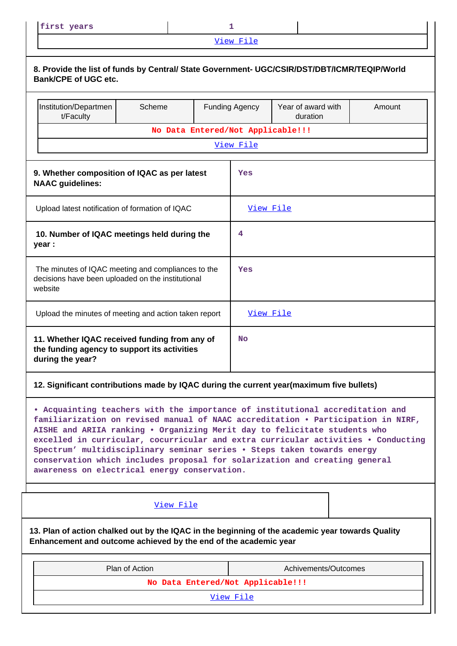[View File](https://assessmentonline.naac.gov.in/public/Postacc/Quality_Initiatives/12352_Quality_Initiatives.xlsx)

| 8. Provide the list of funds by Central/ State Government- UGC/CSIR/DST/DBT/ICMR/TEQIP/World<br><b>Bank/CPE of UGC etc.</b>                                                                                                                                                                                                                                                                                                                                                                                                                  |                                                                         |                                   |           |                                   |                                                                                                  |        |  |  |
|----------------------------------------------------------------------------------------------------------------------------------------------------------------------------------------------------------------------------------------------------------------------------------------------------------------------------------------------------------------------------------------------------------------------------------------------------------------------------------------------------------------------------------------------|-------------------------------------------------------------------------|-----------------------------------|-----------|-----------------------------------|--------------------------------------------------------------------------------------------------|--------|--|--|
|                                                                                                                                                                                                                                                                                                                                                                                                                                                                                                                                              | Institution/Departmen<br>t/Faculty                                      | Scheme                            |           | <b>Funding Agency</b>             | Year of award with<br>duration                                                                   | Amount |  |  |
|                                                                                                                                                                                                                                                                                                                                                                                                                                                                                                                                              |                                                                         |                                   |           | No Data Entered/Not Applicable!!! |                                                                                                  |        |  |  |
| View File                                                                                                                                                                                                                                                                                                                                                                                                                                                                                                                                    |                                                                         |                                   |           |                                   |                                                                                                  |        |  |  |
|                                                                                                                                                                                                                                                                                                                                                                                                                                                                                                                                              | 9. Whether composition of IQAC as per latest<br><b>NAAC</b> guidelines: |                                   |           | Yes                               |                                                                                                  |        |  |  |
|                                                                                                                                                                                                                                                                                                                                                                                                                                                                                                                                              | Upload latest notification of formation of IQAC                         |                                   |           | <u>View File</u>                  |                                                                                                  |        |  |  |
| 10. Number of IQAC meetings held during the<br>year :                                                                                                                                                                                                                                                                                                                                                                                                                                                                                        |                                                                         |                                   | 4         |                                   |                                                                                                  |        |  |  |
| The minutes of IQAC meeting and compliances to the<br>decisions have been uploaded on the institutional<br>website                                                                                                                                                                                                                                                                                                                                                                                                                           |                                                                         |                                   | Yes       |                                   |                                                                                                  |        |  |  |
|                                                                                                                                                                                                                                                                                                                                                                                                                                                                                                                                              | Upload the minutes of meeting and action taken report                   |                                   |           | View File                         |                                                                                                  |        |  |  |
| 11. Whether IQAC received funding from any of<br>the funding agency to support its activities<br>during the year?                                                                                                                                                                                                                                                                                                                                                                                                                            |                                                                         |                                   | <b>No</b> |                                   |                                                                                                  |        |  |  |
|                                                                                                                                                                                                                                                                                                                                                                                                                                                                                                                                              |                                                                         |                                   |           |                                   | 12. Significant contributions made by IQAC during the current year(maximum five bullets)         |        |  |  |
| . Acquainting teachers with the importance of institutional accreditation and<br>familiarization on revised manual of NAAC accreditation . Participation in NIRF,<br>AISHE and ARIIA ranking . Organizing Merit day to felicitate students who<br>excelled in curricular, cocurricular and extra curricular activities . Conducting<br>Spectrum' multidisciplinary seminar series . Steps taken towards energy<br>conservation which includes proposal for solarization and creating general<br>awareness on electrical energy conservation. |                                                                         |                                   |           |                                   |                                                                                                  |        |  |  |
| View File                                                                                                                                                                                                                                                                                                                                                                                                                                                                                                                                    |                                                                         |                                   |           |                                   |                                                                                                  |        |  |  |
|                                                                                                                                                                                                                                                                                                                                                                                                                                                                                                                                              | Enhancement and outcome achieved by the end of the academic year        |                                   |           |                                   | 13. Plan of action chalked out by the IQAC in the beginning of the academic year towards Quality |        |  |  |
|                                                                                                                                                                                                                                                                                                                                                                                                                                                                                                                                              |                                                                         | Plan of Action                    |           |                                   | Achivements/Outcomes                                                                             |        |  |  |
|                                                                                                                                                                                                                                                                                                                                                                                                                                                                                                                                              |                                                                         | No Data Entered/Not Applicable!!! |           |                                   |                                                                                                  |        |  |  |
|                                                                                                                                                                                                                                                                                                                                                                                                                                                                                                                                              |                                                                         |                                   |           | View File                         |                                                                                                  |        |  |  |

║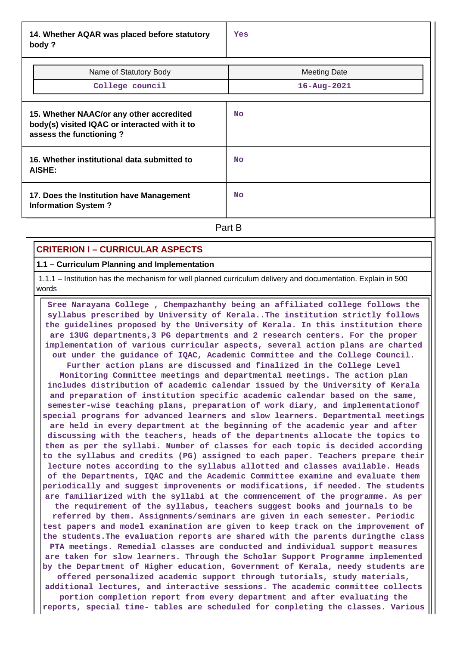**14. Whether AQAR was placed before statutory body ?**

| Name of Statutory Body<br>College council                                                                            | <b>Meeting Date</b><br>$16 - \text{Aug} - 2021$ |
|----------------------------------------------------------------------------------------------------------------------|-------------------------------------------------|
| 15. Whether NAAC/or any other accredited<br>body(s) visited IQAC or interacted with it to<br>assess the functioning? | <b>No</b>                                       |
| 16. Whether institutional data submitted to<br>AISHE:                                                                | <b>No</b>                                       |
| 17. Does the Institution have Management<br><b>Information System?</b>                                               | <b>No</b>                                       |
|                                                                                                                      | Part B                                          |

### **CRITERION I – CURRICULAR ASPECTS**

#### **1.1 – Curriculum Planning and Implementation**

 1.1.1 – Institution has the mechanism for well planned curriculum delivery and documentation. Explain in 500 words

 **Sree Narayana College , Chempazhanthy being an affiliated college follows the syllabus prescribed by University of Kerala..The institution strictly follows the guidelines proposed by the University of Kerala. In this institution there are 13UG departments,3 PG departments and 2 research centers. For the proper implementation of various curricular aspects, several action plans are charted out under the guidance of IQAC, Academic Committee and the College Council. Further action plans are discussed and finalized in the College Level Monitoring Committee meetings and departmental meetings. The action plan includes distribution of academic calendar issued by the University of Kerala and preparation of institution specific academic calendar based on the same, semester-wise teaching plans, preparation of work diary, and implementationof special programs for advanced learners and slow learners. Departmental meetings are held in every department at the beginning of the academic year and after discussing with the teachers, heads of the departments allocate the topics to them as per the syllabi. Number of classes for each topic is decided according to the syllabus and credits (PG) assigned to each paper. Teachers prepare their lecture notes according to the syllabus allotted and classes available. Heads of the Departments, IQAC and the Academic Committee examine and evaluate them periodically and suggest improvements or modifications, if needed. The students are familiarized with the syllabi at the commencement of the programme. As per the requirement of the syllabus, teachers suggest books and journals to be**

**referred by them. Assignments/seminars are given in each semester. Periodic test papers and model examination are given to keep track on the improvement of the students.The evaluation reports are shared with the parents duringthe class PTA meetings. Remedial classes are conducted and individual support measures are taken for slow learners. Through the Scholar Support Programme implemented by the Department of Higher education, Government of Kerala, needy students are**

**offered personalized academic support through tutorials, study materials, additional lectures, and interactive sessions. The academic committee collects**

**portion completion report from every department and after evaluating the reports, special time- tables are scheduled for completing the classes. Various**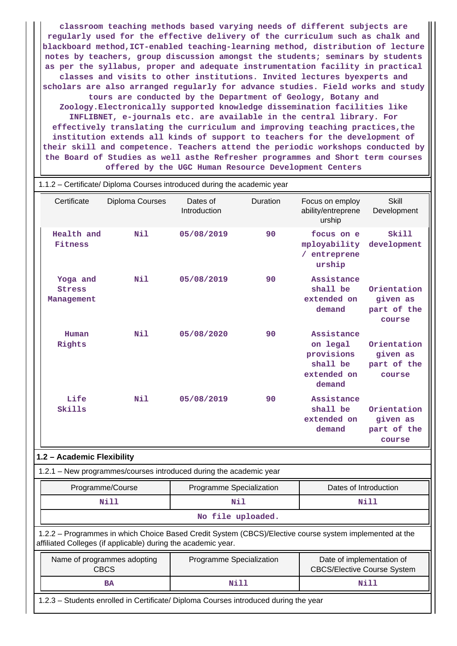**classroom teaching methods based varying needs of different subjects are regularly used for the effective delivery of the curriculum such as chalk and blackboard method,ICT-enabled teaching-learning method, distribution of lecture notes by teachers, group discussion amongst the students; seminars by students as per the syllabus, proper and adequate instrumentation facility in practical classes and visits to other institutions. Invited lectures byexperts and scholars are also arranged regularly for advance studies. Field works and study tours are conducted by the Department of Geology, Botany and Zoology.Electronically supported knowledge dissemination facilities like INFLIBNET, e-journals etc. are available in the central library. For effectively translating the curriculum and improving teaching practices,the institution extends all kinds of support to teachers for the development of their skill and competence. Teachers attend the periodic workshops conducted by the Board of Studies as well asthe Refresher programmes and Short term courses offered by the UGC Human Resource Development Centers**

| 1.1.2 - Certificate/ Diploma Courses introduced during the academic year                                                                                                 |                                                                                                                                           |                          |          |                                                                           |                                                  |  |  |  |  |
|--------------------------------------------------------------------------------------------------------------------------------------------------------------------------|-------------------------------------------------------------------------------------------------------------------------------------------|--------------------------|----------|---------------------------------------------------------------------------|--------------------------------------------------|--|--|--|--|
| Certificate                                                                                                                                                              | Diploma Courses                                                                                                                           | Dates of<br>Introduction | Duration | Focus on employ<br>ability/entreprene<br>urship                           | <b>Skill</b><br>Development                      |  |  |  |  |
| Health and<br>Fitness                                                                                                                                                    | Nil                                                                                                                                       | 05/08/2019               | 90       | focus on e<br>mployability<br>/ entreprene<br>urship                      | Skill<br>development                             |  |  |  |  |
| Yoga and<br><b>Stress</b><br>Management                                                                                                                                  | Nil                                                                                                                                       | 05/08/2019               | 90       | Assistance<br>shall be<br>extended on<br>demand                           | Orientation<br>given as<br>part of the<br>course |  |  |  |  |
| Human<br>Rights                                                                                                                                                          | Nil                                                                                                                                       |                          | 90       | Assistance<br>on legal<br>provisions<br>shall be<br>extended on<br>demand | Orientation<br>given as<br>part of the<br>course |  |  |  |  |
| Life<br>Skills                                                                                                                                                           | N11                                                                                                                                       | 05/08/2019               | 90       | Assistance<br>shall be<br>extended on<br>demand                           | Orientation<br>given as<br>part of the<br>course |  |  |  |  |
| 1.2 - Academic Flexibility                                                                                                                                               |                                                                                                                                           |                          |          |                                                                           |                                                  |  |  |  |  |
|                                                                                                                                                                          | 1.2.1 - New programmes/courses introduced during the academic year                                                                        |                          |          |                                                                           |                                                  |  |  |  |  |
|                                                                                                                                                                          | Programme/Course                                                                                                                          | Programme Specialization |          | Dates of Introduction                                                     |                                                  |  |  |  |  |
|                                                                                                                                                                          | Nill                                                                                                                                      | Nil                      |          | Nill                                                                      |                                                  |  |  |  |  |
|                                                                                                                                                                          |                                                                                                                                           | No file uploaded.        |          |                                                                           |                                                  |  |  |  |  |
| 1.2.2 - Programmes in which Choice Based Credit System (CBCS)/Elective course system implemented at the<br>affiliated Colleges (if applicable) during the academic year. |                                                                                                                                           |                          |          |                                                                           |                                                  |  |  |  |  |
|                                                                                                                                                                          | Date of implementation of<br>Name of programmes adopting<br>Programme Specialization<br><b>CBCS</b><br><b>CBCS/Elective Course System</b> |                          |          |                                                                           |                                                  |  |  |  |  |
|                                                                                                                                                                          | <b>BA</b>                                                                                                                                 | Nill                     |          |                                                                           | Nill                                             |  |  |  |  |
| 1.2.3 - Students enrolled in Certificate/ Diploma Courses introduced during the year                                                                                     |                                                                                                                                           |                          |          |                                                                           |                                                  |  |  |  |  |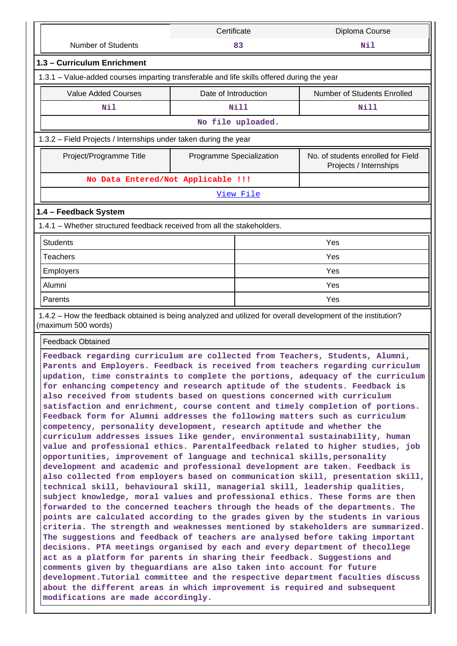|                                                                                                                                                                                                                                                                                                                                                                                                                                                                                                                                                                                                                                                                                                                                                                                                                                                                                                                                                                                                                                                                                                                                                                                                                                                                                                                                                                                                                                                                                                                                                                                                                                                                                                                                                                                                                                                                                                                                                                                      | Certificate              |                   | Diploma Course                                               |  |  |  |  |
|--------------------------------------------------------------------------------------------------------------------------------------------------------------------------------------------------------------------------------------------------------------------------------------------------------------------------------------------------------------------------------------------------------------------------------------------------------------------------------------------------------------------------------------------------------------------------------------------------------------------------------------------------------------------------------------------------------------------------------------------------------------------------------------------------------------------------------------------------------------------------------------------------------------------------------------------------------------------------------------------------------------------------------------------------------------------------------------------------------------------------------------------------------------------------------------------------------------------------------------------------------------------------------------------------------------------------------------------------------------------------------------------------------------------------------------------------------------------------------------------------------------------------------------------------------------------------------------------------------------------------------------------------------------------------------------------------------------------------------------------------------------------------------------------------------------------------------------------------------------------------------------------------------------------------------------------------------------------------------------|--------------------------|-------------------|--------------------------------------------------------------|--|--|--|--|
| <b>Number of Students</b>                                                                                                                                                                                                                                                                                                                                                                                                                                                                                                                                                                                                                                                                                                                                                                                                                                                                                                                                                                                                                                                                                                                                                                                                                                                                                                                                                                                                                                                                                                                                                                                                                                                                                                                                                                                                                                                                                                                                                            |                          | 83                | Nil                                                          |  |  |  |  |
| 1.3 - Curriculum Enrichment                                                                                                                                                                                                                                                                                                                                                                                                                                                                                                                                                                                                                                                                                                                                                                                                                                                                                                                                                                                                                                                                                                                                                                                                                                                                                                                                                                                                                                                                                                                                                                                                                                                                                                                                                                                                                                                                                                                                                          |                          |                   |                                                              |  |  |  |  |
| 1.3.1 - Value-added courses imparting transferable and life skills offered during the year                                                                                                                                                                                                                                                                                                                                                                                                                                                                                                                                                                                                                                                                                                                                                                                                                                                                                                                                                                                                                                                                                                                                                                                                                                                                                                                                                                                                                                                                                                                                                                                                                                                                                                                                                                                                                                                                                           |                          |                   |                                                              |  |  |  |  |
| <b>Value Added Courses</b>                                                                                                                                                                                                                                                                                                                                                                                                                                                                                                                                                                                                                                                                                                                                                                                                                                                                                                                                                                                                                                                                                                                                                                                                                                                                                                                                                                                                                                                                                                                                                                                                                                                                                                                                                                                                                                                                                                                                                           | Date of Introduction     |                   | <b>Number of Students Enrolled</b>                           |  |  |  |  |
| Nil                                                                                                                                                                                                                                                                                                                                                                                                                                                                                                                                                                                                                                                                                                                                                                                                                                                                                                                                                                                                                                                                                                                                                                                                                                                                                                                                                                                                                                                                                                                                                                                                                                                                                                                                                                                                                                                                                                                                                                                  |                          | Nill              | Nill                                                         |  |  |  |  |
|                                                                                                                                                                                                                                                                                                                                                                                                                                                                                                                                                                                                                                                                                                                                                                                                                                                                                                                                                                                                                                                                                                                                                                                                                                                                                                                                                                                                                                                                                                                                                                                                                                                                                                                                                                                                                                                                                                                                                                                      |                          | No file uploaded. |                                                              |  |  |  |  |
| 1.3.2 – Field Projects / Internships under taken during the year                                                                                                                                                                                                                                                                                                                                                                                                                                                                                                                                                                                                                                                                                                                                                                                                                                                                                                                                                                                                                                                                                                                                                                                                                                                                                                                                                                                                                                                                                                                                                                                                                                                                                                                                                                                                                                                                                                                     |                          |                   |                                                              |  |  |  |  |
| Project/Programme Title                                                                                                                                                                                                                                                                                                                                                                                                                                                                                                                                                                                                                                                                                                                                                                                                                                                                                                                                                                                                                                                                                                                                                                                                                                                                                                                                                                                                                                                                                                                                                                                                                                                                                                                                                                                                                                                                                                                                                              | Programme Specialization |                   | No. of students enrolled for Field<br>Projects / Internships |  |  |  |  |
| No Data Entered/Not Applicable !!!                                                                                                                                                                                                                                                                                                                                                                                                                                                                                                                                                                                                                                                                                                                                                                                                                                                                                                                                                                                                                                                                                                                                                                                                                                                                                                                                                                                                                                                                                                                                                                                                                                                                                                                                                                                                                                                                                                                                                   |                          |                   |                                                              |  |  |  |  |
|                                                                                                                                                                                                                                                                                                                                                                                                                                                                                                                                                                                                                                                                                                                                                                                                                                                                                                                                                                                                                                                                                                                                                                                                                                                                                                                                                                                                                                                                                                                                                                                                                                                                                                                                                                                                                                                                                                                                                                                      |                          | <u>View File</u>  |                                                              |  |  |  |  |
| 1.4 - Feedback System                                                                                                                                                                                                                                                                                                                                                                                                                                                                                                                                                                                                                                                                                                                                                                                                                                                                                                                                                                                                                                                                                                                                                                                                                                                                                                                                                                                                                                                                                                                                                                                                                                                                                                                                                                                                                                                                                                                                                                |                          |                   |                                                              |  |  |  |  |
| 1.4.1 - Whether structured feedback received from all the stakeholders.                                                                                                                                                                                                                                                                                                                                                                                                                                                                                                                                                                                                                                                                                                                                                                                                                                                                                                                                                                                                                                                                                                                                                                                                                                                                                                                                                                                                                                                                                                                                                                                                                                                                                                                                                                                                                                                                                                              |                          |                   |                                                              |  |  |  |  |
| <b>Students</b>                                                                                                                                                                                                                                                                                                                                                                                                                                                                                                                                                                                                                                                                                                                                                                                                                                                                                                                                                                                                                                                                                                                                                                                                                                                                                                                                                                                                                                                                                                                                                                                                                                                                                                                                                                                                                                                                                                                                                                      |                          |                   | Yes                                                          |  |  |  |  |
| <b>Teachers</b>                                                                                                                                                                                                                                                                                                                                                                                                                                                                                                                                                                                                                                                                                                                                                                                                                                                                                                                                                                                                                                                                                                                                                                                                                                                                                                                                                                                                                                                                                                                                                                                                                                                                                                                                                                                                                                                                                                                                                                      |                          |                   | Yes                                                          |  |  |  |  |
| Employers                                                                                                                                                                                                                                                                                                                                                                                                                                                                                                                                                                                                                                                                                                                                                                                                                                                                                                                                                                                                                                                                                                                                                                                                                                                                                                                                                                                                                                                                                                                                                                                                                                                                                                                                                                                                                                                                                                                                                                            |                          |                   | Yes                                                          |  |  |  |  |
| Alumni                                                                                                                                                                                                                                                                                                                                                                                                                                                                                                                                                                                                                                                                                                                                                                                                                                                                                                                                                                                                                                                                                                                                                                                                                                                                                                                                                                                                                                                                                                                                                                                                                                                                                                                                                                                                                                                                                                                                                                               |                          | Yes               |                                                              |  |  |  |  |
| Parents                                                                                                                                                                                                                                                                                                                                                                                                                                                                                                                                                                                                                                                                                                                                                                                                                                                                                                                                                                                                                                                                                                                                                                                                                                                                                                                                                                                                                                                                                                                                                                                                                                                                                                                                                                                                                                                                                                                                                                              |                          | Yes               |                                                              |  |  |  |  |
| 1.4.2 - How the feedback obtained is being analyzed and utilized for overall development of the institution?<br>(maximum 500 words)                                                                                                                                                                                                                                                                                                                                                                                                                                                                                                                                                                                                                                                                                                                                                                                                                                                                                                                                                                                                                                                                                                                                                                                                                                                                                                                                                                                                                                                                                                                                                                                                                                                                                                                                                                                                                                                  |                          |                   |                                                              |  |  |  |  |
| <b>Feedback Obtained</b>                                                                                                                                                                                                                                                                                                                                                                                                                                                                                                                                                                                                                                                                                                                                                                                                                                                                                                                                                                                                                                                                                                                                                                                                                                                                                                                                                                                                                                                                                                                                                                                                                                                                                                                                                                                                                                                                                                                                                             |                          |                   |                                                              |  |  |  |  |
| Feedback regarding curriculum are collected from Teachers, Students, Alumni,<br>Parents and Employers. Feedback is received from teachers regarding curriculum<br>updation, time constraints to complete the portions, adequacy of the curriculum<br>for enhancing competency and research aptitude of the students. Feedback is<br>also received from students based on questions concerned with curriculum<br>satisfaction and enrichment, course content and timely completion of portions.<br>Feedback form for Alumni addresses the following matters such as curriculum<br>competency, personality development, research aptitude and whether the<br>curriculum addresses issues like gender, environmental sustainability, human<br>value and professional ethics. Parentalfeedback related to higher studies, job<br>opportunities, improvement of language and technical skills, personality<br>development and academic and professional development are taken. Feedback is<br>also collected from employers based on communication skill, presentation skill,<br>technical skill, behavioural skill, managerial skill, leadership qualities,<br>subject knowledge, moral values and professional ethics. These forms are then<br>forwarded to the concerned teachers through the heads of the departments. The<br>points are calculated according to the grades given by the students in various<br>criteria. The strength and weaknesses mentioned by stakeholders are summarized.<br>The suggestions and feedback of teachers are analysed before taking important<br>decisions. PTA meetings organised by each and every department of thecollege<br>act as a platform for parents in sharing their feedback. Suggestions and<br>comments given by theguardians are also taken into account for future<br>development. Tutorial committee and the respective department faculties discuss<br>about the different areas in which improvement is required and subsequent |                          |                   |                                                              |  |  |  |  |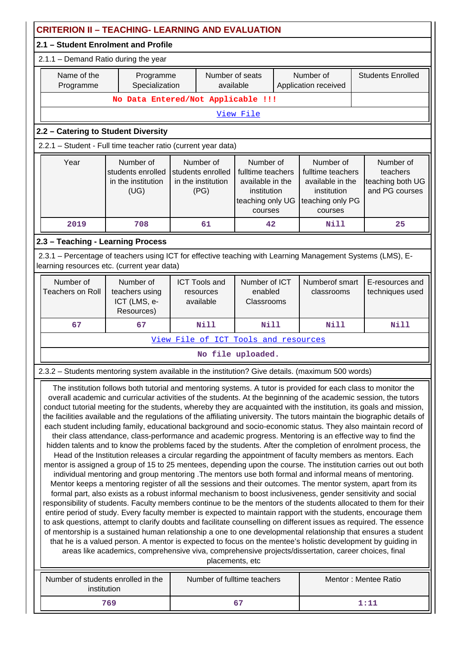| <b>CRITERION II - TEACHING- LEARNING AND EVALUATION</b>                                                                                                                                                                                                                                                                                                                                                                                                                                                                                                                                                                                                                                                                                                                                                                                                                                                                                                                                                                                                                                                                                                                                                                                                                                                                                                                                                                                                                                                                                                                                                                                                                                                                                                                                                                                                                                                                                                                                                                                                                                                                                       |                                                                                                                                                                                                                                                                                                                                      |                                                |                                                             |  |                                   |                                    |  |
|-----------------------------------------------------------------------------------------------------------------------------------------------------------------------------------------------------------------------------------------------------------------------------------------------------------------------------------------------------------------------------------------------------------------------------------------------------------------------------------------------------------------------------------------------------------------------------------------------------------------------------------------------------------------------------------------------------------------------------------------------------------------------------------------------------------------------------------------------------------------------------------------------------------------------------------------------------------------------------------------------------------------------------------------------------------------------------------------------------------------------------------------------------------------------------------------------------------------------------------------------------------------------------------------------------------------------------------------------------------------------------------------------------------------------------------------------------------------------------------------------------------------------------------------------------------------------------------------------------------------------------------------------------------------------------------------------------------------------------------------------------------------------------------------------------------------------------------------------------------------------------------------------------------------------------------------------------------------------------------------------------------------------------------------------------------------------------------------------------------------------------------------------|--------------------------------------------------------------------------------------------------------------------------------------------------------------------------------------------------------------------------------------------------------------------------------------------------------------------------------------|------------------------------------------------|-------------------------------------------------------------|--|-----------------------------------|------------------------------------|--|
| 2.1 - Student Enrolment and Profile                                                                                                                                                                                                                                                                                                                                                                                                                                                                                                                                                                                                                                                                                                                                                                                                                                                                                                                                                                                                                                                                                                                                                                                                                                                                                                                                                                                                                                                                                                                                                                                                                                                                                                                                                                                                                                                                                                                                                                                                                                                                                                           |                                                                                                                                                                                                                                                                                                                                      |                                                |                                                             |  |                                   |                                    |  |
| 2.1.1 - Demand Ratio during the year                                                                                                                                                                                                                                                                                                                                                                                                                                                                                                                                                                                                                                                                                                                                                                                                                                                                                                                                                                                                                                                                                                                                                                                                                                                                                                                                                                                                                                                                                                                                                                                                                                                                                                                                                                                                                                                                                                                                                                                                                                                                                                          |                                                                                                                                                                                                                                                                                                                                      |                                                |                                                             |  |                                   |                                    |  |
| Name of the<br>Programme                                                                                                                                                                                                                                                                                                                                                                                                                                                                                                                                                                                                                                                                                                                                                                                                                                                                                                                                                                                                                                                                                                                                                                                                                                                                                                                                                                                                                                                                                                                                                                                                                                                                                                                                                                                                                                                                                                                                                                                                                                                                                                                      | Programme<br>Specialization                                                                                                                                                                                                                                                                                                          | Number of seats<br>available                   |                                                             |  | Number of<br>Application received | <b>Students Enrolled</b>           |  |
|                                                                                                                                                                                                                                                                                                                                                                                                                                                                                                                                                                                                                                                                                                                                                                                                                                                                                                                                                                                                                                                                                                                                                                                                                                                                                                                                                                                                                                                                                                                                                                                                                                                                                                                                                                                                                                                                                                                                                                                                                                                                                                                                               |                                                                                                                                                                                                                                                                                                                                      | No Data Entered/Not Applicable !!!             |                                                             |  |                                   |                                    |  |
|                                                                                                                                                                                                                                                                                                                                                                                                                                                                                                                                                                                                                                                                                                                                                                                                                                                                                                                                                                                                                                                                                                                                                                                                                                                                                                                                                                                                                                                                                                                                                                                                                                                                                                                                                                                                                                                                                                                                                                                                                                                                                                                                               |                                                                                                                                                                                                                                                                                                                                      |                                                | View File                                                   |  |                                   |                                    |  |
| 2.2 - Catering to Student Diversity                                                                                                                                                                                                                                                                                                                                                                                                                                                                                                                                                                                                                                                                                                                                                                                                                                                                                                                                                                                                                                                                                                                                                                                                                                                                                                                                                                                                                                                                                                                                                                                                                                                                                                                                                                                                                                                                                                                                                                                                                                                                                                           |                                                                                                                                                                                                                                                                                                                                      |                                                |                                                             |  |                                   |                                    |  |
| 2.2.1 - Student - Full time teacher ratio (current year data)                                                                                                                                                                                                                                                                                                                                                                                                                                                                                                                                                                                                                                                                                                                                                                                                                                                                                                                                                                                                                                                                                                                                                                                                                                                                                                                                                                                                                                                                                                                                                                                                                                                                                                                                                                                                                                                                                                                                                                                                                                                                                 |                                                                                                                                                                                                                                                                                                                                      |                                                |                                                             |  |                                   |                                    |  |
| Year                                                                                                                                                                                                                                                                                                                                                                                                                                                                                                                                                                                                                                                                                                                                                                                                                                                                                                                                                                                                                                                                                                                                                                                                                                                                                                                                                                                                                                                                                                                                                                                                                                                                                                                                                                                                                                                                                                                                                                                                                                                                                                                                          | Number of<br>Number of<br>Number of<br>Number of<br>students enrolled<br>students enrolled<br>fulltime teachers<br>fulltime teachers<br>in the institution<br>in the institution<br>available in the<br>available in the<br>(UG)<br>(PG)<br>institution<br>institution<br>teaching only PG<br>teaching only UG<br>courses<br>courses |                                                | Number of<br>teachers<br>teaching both UG<br>and PG courses |  |                                   |                                    |  |
| 2019                                                                                                                                                                                                                                                                                                                                                                                                                                                                                                                                                                                                                                                                                                                                                                                                                                                                                                                                                                                                                                                                                                                                                                                                                                                                                                                                                                                                                                                                                                                                                                                                                                                                                                                                                                                                                                                                                                                                                                                                                                                                                                                                          | 708                                                                                                                                                                                                                                                                                                                                  | 61                                             | 42                                                          |  | Nill                              | 25                                 |  |
| 2.3 - Teaching - Learning Process                                                                                                                                                                                                                                                                                                                                                                                                                                                                                                                                                                                                                                                                                                                                                                                                                                                                                                                                                                                                                                                                                                                                                                                                                                                                                                                                                                                                                                                                                                                                                                                                                                                                                                                                                                                                                                                                                                                                                                                                                                                                                                             |                                                                                                                                                                                                                                                                                                                                      |                                                |                                                             |  |                                   |                                    |  |
| 2.3.1 - Percentage of teachers using ICT for effective teaching with Learning Management Systems (LMS), E-                                                                                                                                                                                                                                                                                                                                                                                                                                                                                                                                                                                                                                                                                                                                                                                                                                                                                                                                                                                                                                                                                                                                                                                                                                                                                                                                                                                                                                                                                                                                                                                                                                                                                                                                                                                                                                                                                                                                                                                                                                    |                                                                                                                                                                                                                                                                                                                                      |                                                |                                                             |  |                                   |                                    |  |
| learning resources etc. (current year data)                                                                                                                                                                                                                                                                                                                                                                                                                                                                                                                                                                                                                                                                                                                                                                                                                                                                                                                                                                                                                                                                                                                                                                                                                                                                                                                                                                                                                                                                                                                                                                                                                                                                                                                                                                                                                                                                                                                                                                                                                                                                                                   |                                                                                                                                                                                                                                                                                                                                      |                                                |                                                             |  |                                   |                                    |  |
| Number of<br><b>Teachers on Roll</b>                                                                                                                                                                                                                                                                                                                                                                                                                                                                                                                                                                                                                                                                                                                                                                                                                                                                                                                                                                                                                                                                                                                                                                                                                                                                                                                                                                                                                                                                                                                                                                                                                                                                                                                                                                                                                                                                                                                                                                                                                                                                                                          | Number of<br>teachers using<br>ICT (LMS, e-<br>Resources)                                                                                                                                                                                                                                                                            | <b>ICT Tools and</b><br>resources<br>available | Number of ICT<br>enabled<br>Classrooms                      |  | Numberof smart<br>classrooms      | E-resources and<br>techniques used |  |
| 67                                                                                                                                                                                                                                                                                                                                                                                                                                                                                                                                                                                                                                                                                                                                                                                                                                                                                                                                                                                                                                                                                                                                                                                                                                                                                                                                                                                                                                                                                                                                                                                                                                                                                                                                                                                                                                                                                                                                                                                                                                                                                                                                            | 67                                                                                                                                                                                                                                                                                                                                   | <b>Nill</b>                                    | <b>Nill</b><br><b>Nill</b>                                  |  |                                   | <b>Nill</b>                        |  |
|                                                                                                                                                                                                                                                                                                                                                                                                                                                                                                                                                                                                                                                                                                                                                                                                                                                                                                                                                                                                                                                                                                                                                                                                                                                                                                                                                                                                                                                                                                                                                                                                                                                                                                                                                                                                                                                                                                                                                                                                                                                                                                                                               |                                                                                                                                                                                                                                                                                                                                      | View File of ICT Tools and resources           |                                                             |  |                                   |                                    |  |
|                                                                                                                                                                                                                                                                                                                                                                                                                                                                                                                                                                                                                                                                                                                                                                                                                                                                                                                                                                                                                                                                                                                                                                                                                                                                                                                                                                                                                                                                                                                                                                                                                                                                                                                                                                                                                                                                                                                                                                                                                                                                                                                                               |                                                                                                                                                                                                                                                                                                                                      |                                                | No file uploaded.                                           |  |                                   |                                    |  |
| 2.3.2 - Students mentoring system available in the institution? Give details. (maximum 500 words)                                                                                                                                                                                                                                                                                                                                                                                                                                                                                                                                                                                                                                                                                                                                                                                                                                                                                                                                                                                                                                                                                                                                                                                                                                                                                                                                                                                                                                                                                                                                                                                                                                                                                                                                                                                                                                                                                                                                                                                                                                             |                                                                                                                                                                                                                                                                                                                                      |                                                |                                                             |  |                                   |                                    |  |
| The institution follows both tutorial and mentoring systems. A tutor is provided for each class to monitor the<br>overall academic and curricular activities of the students. At the beginning of the academic session, the tutors<br>conduct tutorial meeting for the students, whereby they are acquainted with the institution, its goals and mission,<br>the facilities available and the regulations of the affiliating university. The tutors maintain the biographic details of<br>each student including family, educational background and socio-economic status. They also maintain record of<br>their class attendance, class-performance and academic progress. Mentoring is an effective way to find the<br>hidden talents and to know the problems faced by the students. After the completion of enrolment process, the<br>Head of the Institution releases a circular regarding the appointment of faculty members as mentors. Each<br>mentor is assigned a group of 15 to 25 mentees, depending upon the course. The institution carries out out both<br>individual mentoring and group mentoring . The mentors use both formal and informal means of mentoring.<br>Mentor keeps a mentoring register of all the sessions and their outcomes. The mentor system, apart from its<br>formal part, also exists as a robust informal mechanism to boost inclusiveness, gender sensitivity and social<br>responsibility of students. Faculty members continue to be the mentors of the students allocated to them for their<br>entire period of study. Every faculty member is expected to maintain rapport with the students, encourage them<br>to ask questions, attempt to clarify doubts and facilitate counselling on different issues as required. The essence<br>of mentorship is a sustained human relationship a one to one developmental relationship that ensures a student<br>that he is a valued person. A mentor is expected to focus on the mentee's holistic development by guiding in<br>areas like academics, comprehensive viva, comprehensive projects/dissertation, career choices, final<br>placements, etc |                                                                                                                                                                                                                                                                                                                                      |                                                |                                                             |  |                                   |                                    |  |
|                                                                                                                                                                                                                                                                                                                                                                                                                                                                                                                                                                                                                                                                                                                                                                                                                                                                                                                                                                                                                                                                                                                                                                                                                                                                                                                                                                                                                                                                                                                                                                                                                                                                                                                                                                                                                                                                                                                                                                                                                                                                                                                                               | Number of students enrolled in the                                                                                                                                                                                                                                                                                                   | Number of fulltime teachers                    |                                                             |  |                                   | Mentor: Mentee Ratio               |  |
|                                                                                                                                                                                                                                                                                                                                                                                                                                                                                                                                                                                                                                                                                                                                                                                                                                                                                                                                                                                                                                                                                                                                                                                                                                                                                                                                                                                                                                                                                                                                                                                                                                                                                                                                                                                                                                                                                                                                                                                                                                                                                                                                               | institution<br>769<br>67<br>1:11                                                                                                                                                                                                                                                                                                     |                                                |                                                             |  |                                   |                                    |  |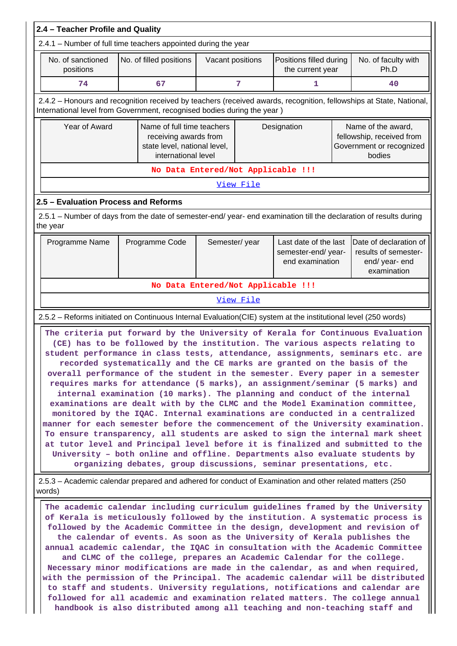| 2.4 - Teacher Profile and Quality                                                                                                                                                                                                                                                                                                                                                                                                                                                                                                                                                                                                                                                                                                                                                                                                                                                                                                                                                                                                                                                                                                                    |  |                                    |                  |           |                                             |                                                                                 |                                                                                       |  |
|------------------------------------------------------------------------------------------------------------------------------------------------------------------------------------------------------------------------------------------------------------------------------------------------------------------------------------------------------------------------------------------------------------------------------------------------------------------------------------------------------------------------------------------------------------------------------------------------------------------------------------------------------------------------------------------------------------------------------------------------------------------------------------------------------------------------------------------------------------------------------------------------------------------------------------------------------------------------------------------------------------------------------------------------------------------------------------------------------------------------------------------------------|--|------------------------------------|------------------|-----------|---------------------------------------------|---------------------------------------------------------------------------------|---------------------------------------------------------------------------------------|--|
| 2.4.1 - Number of full time teachers appointed during the year                                                                                                                                                                                                                                                                                                                                                                                                                                                                                                                                                                                                                                                                                                                                                                                                                                                                                                                                                                                                                                                                                       |  |                                    |                  |           |                                             |                                                                                 |                                                                                       |  |
| No. of sanctioned<br>positions                                                                                                                                                                                                                                                                                                                                                                                                                                                                                                                                                                                                                                                                                                                                                                                                                                                                                                                                                                                                                                                                                                                       |  | No. of filled positions            | Vacant positions |           | Positions filled during<br>the current year |                                                                                 | No. of faculty with<br>Ph.D                                                           |  |
| 74                                                                                                                                                                                                                                                                                                                                                                                                                                                                                                                                                                                                                                                                                                                                                                                                                                                                                                                                                                                                                                                                                                                                                   |  | 67                                 | 7<br>1           |           |                                             | 40                                                                              |                                                                                       |  |
| 2.4.2 - Honours and recognition received by teachers (received awards, recognition, fellowships at State, National,<br>International level from Government, recognised bodies during the year)                                                                                                                                                                                                                                                                                                                                                                                                                                                                                                                                                                                                                                                                                                                                                                                                                                                                                                                                                       |  |                                    |                  |           |                                             |                                                                                 |                                                                                       |  |
| Year of Award<br>Name of full time teachers<br>receiving awards from<br>state level, national level,<br>international level                                                                                                                                                                                                                                                                                                                                                                                                                                                                                                                                                                                                                                                                                                                                                                                                                                                                                                                                                                                                                          |  |                                    |                  |           | Designation                                 |                                                                                 | Name of the award,<br>fellowship, received from<br>Government or recognized<br>bodies |  |
| No Data Entered/Not Applicable !!!                                                                                                                                                                                                                                                                                                                                                                                                                                                                                                                                                                                                                                                                                                                                                                                                                                                                                                                                                                                                                                                                                                                   |  |                                    |                  |           |                                             |                                                                                 |                                                                                       |  |
|                                                                                                                                                                                                                                                                                                                                                                                                                                                                                                                                                                                                                                                                                                                                                                                                                                                                                                                                                                                                                                                                                                                                                      |  |                                    |                  | View File |                                             |                                                                                 |                                                                                       |  |
| 2.5 - Evaluation Process and Reforms                                                                                                                                                                                                                                                                                                                                                                                                                                                                                                                                                                                                                                                                                                                                                                                                                                                                                                                                                                                                                                                                                                                 |  |                                    |                  |           |                                             |                                                                                 |                                                                                       |  |
| 2.5.1 – Number of days from the date of semester-end/ year- end examination till the declaration of results during<br>the year                                                                                                                                                                                                                                                                                                                                                                                                                                                                                                                                                                                                                                                                                                                                                                                                                                                                                                                                                                                                                       |  |                                    |                  |           |                                             |                                                                                 |                                                                                       |  |
| Semester/year<br>Last date of the last<br>Programme Name<br>Programme Code<br>semester-end/year-<br>end examination                                                                                                                                                                                                                                                                                                                                                                                                                                                                                                                                                                                                                                                                                                                                                                                                                                                                                                                                                                                                                                  |  |                                    |                  |           |                                             | Date of declaration of<br>results of semester-<br>end/ year- end<br>examination |                                                                                       |  |
|                                                                                                                                                                                                                                                                                                                                                                                                                                                                                                                                                                                                                                                                                                                                                                                                                                                                                                                                                                                                                                                                                                                                                      |  | No Data Entered/Not Applicable !!! |                  |           |                                             |                                                                                 |                                                                                       |  |
|                                                                                                                                                                                                                                                                                                                                                                                                                                                                                                                                                                                                                                                                                                                                                                                                                                                                                                                                                                                                                                                                                                                                                      |  |                                    |                  | View File |                                             |                                                                                 |                                                                                       |  |
| 2.5.2 - Reforms initiated on Continuous Internal Evaluation(CIE) system at the institutional level (250 words)                                                                                                                                                                                                                                                                                                                                                                                                                                                                                                                                                                                                                                                                                                                                                                                                                                                                                                                                                                                                                                       |  |                                    |                  |           |                                             |                                                                                 |                                                                                       |  |
| The criteria put forward by the University of Kerala for Continuous Evaluation<br>(CE) has to be followed by the institution. The various aspects relating to<br>student performance in class tests, attendance, assignments, seminars etc. are<br>recorded systematically and the CE marks are granted on the basis of the<br>overall performance of the student in the semester. Every paper in a semester<br>requires marks for attendance (5 marks), an assignment/seminar (5 marks) and<br>internal examination (10 marks). The planning and conduct of the internal<br>examinations are dealt with by the CLMC and the Model Examination committee,<br>monitored by the IQAC. Internal examinations are conducted in a centralized<br>manner for each semester before the commencement of the University examination.<br>To ensure transparency, all students are asked to sign the internal mark sheet<br>at tutor level and Principal level before it is finalized and submitted to the<br>University - both online and offline. Departments also evaluate students by<br>organizing debates, group discussions, seminar presentations, etc. |  |                                    |                  |           |                                             |                                                                                 |                                                                                       |  |
| 2.5.3 – Academic calendar prepared and adhered for conduct of Examination and other related matters (250)<br>words)                                                                                                                                                                                                                                                                                                                                                                                                                                                                                                                                                                                                                                                                                                                                                                                                                                                                                                                                                                                                                                  |  |                                    |                  |           |                                             |                                                                                 |                                                                                       |  |
| The academic calendar including curriculum guidelines framed by the University<br>of Kerala is meticulously followed by the institution. A systematic process is<br>followed by the Academic Committee in the design, development and revision of<br>the calendar of events. As soon as the University of Kerala publishes the<br>annual academic calendar, the IQAC in consultation with the Academic Committee<br>and CLMC of the college, prepares an Academic Calendar for the college.<br>Necessary minor modifications are made in the calendar, as and when required,<br>with the permission of the Principal. The academic calendar will be distributed<br>to staff and students. University regulations, notifications and calendar are<br>followed for all academic and examination related matters. The college annual<br>handbook is also distributed among all teaching and non-teaching staff and                                                                                                                                                                                                                                      |  |                                    |                  |           |                                             |                                                                                 |                                                                                       |  |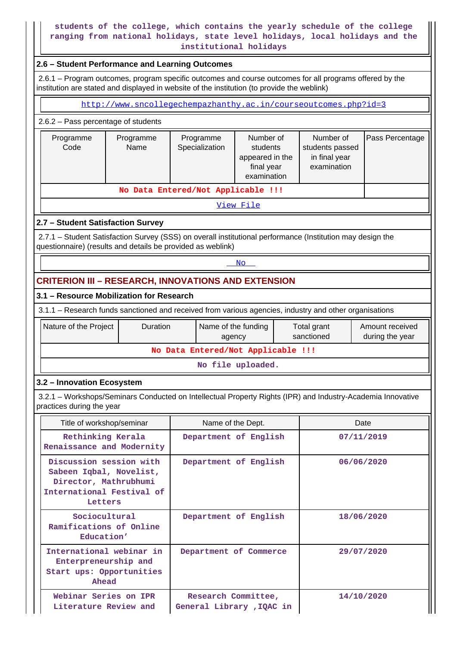### **students of the college, which contains the yearly schedule of the college ranging from national holidays, state level holidays, local holidays and the institutional holidays**

### **2.6 – Student Performance and Learning Outcomes**

 2.6.1 – Program outcomes, program specific outcomes and course outcomes for all programs offered by the institution are stated and displayed in website of the institution (to provide the weblink)

| http://www.sncollegechempazhanthy.ac.in/courseoutcomes.php?id=3                                                                                                           |                                                                                                                                                                                                              |                               |           |                           |                                    |  |  |  |
|---------------------------------------------------------------------------------------------------------------------------------------------------------------------------|--------------------------------------------------------------------------------------------------------------------------------------------------------------------------------------------------------------|-------------------------------|-----------|---------------------------|------------------------------------|--|--|--|
| 2.6.2 - Pass percentage of students                                                                                                                                       |                                                                                                                                                                                                              |                               |           |                           |                                    |  |  |  |
| Programme<br>Code                                                                                                                                                         | Number of<br>Programme<br>Number of<br>Pass Percentage<br>Programme<br>Name<br>Specialization<br>students<br>students passed<br>appeared in the<br>in final year<br>examination<br>final year<br>examination |                               |           |                           |                                    |  |  |  |
| No Data Entered/Not Applicable !!!                                                                                                                                        |                                                                                                                                                                                                              |                               |           |                           |                                    |  |  |  |
|                                                                                                                                                                           |                                                                                                                                                                                                              |                               | View File |                           |                                    |  |  |  |
| 2.7 - Student Satisfaction Survey                                                                                                                                         |                                                                                                                                                                                                              |                               |           |                           |                                    |  |  |  |
| 2.7.1 - Student Satisfaction Survey (SSS) on overall institutional performance (Institution may design the<br>questionnaire) (results and details be provided as weblink) |                                                                                                                                                                                                              |                               |           |                           |                                    |  |  |  |
|                                                                                                                                                                           | No                                                                                                                                                                                                           |                               |           |                           |                                    |  |  |  |
| <b>CRITERION III - RESEARCH, INNOVATIONS AND EXTENSION</b>                                                                                                                |                                                                                                                                                                                                              |                               |           |                           |                                    |  |  |  |
| 3.1 - Resource Mobilization for Research                                                                                                                                  |                                                                                                                                                                                                              |                               |           |                           |                                    |  |  |  |
| 3.1.1 – Research funds sanctioned and received from various agencies, industry and other organisations                                                                    |                                                                                                                                                                                                              |                               |           |                           |                                    |  |  |  |
| Nature of the Project                                                                                                                                                     | Duration                                                                                                                                                                                                     | Name of the funding<br>agency |           | Total grant<br>sanctioned | Amount received<br>during the year |  |  |  |
| No Data Entered/Not Applicable !!!                                                                                                                                        |                                                                                                                                                                                                              |                               |           |                           |                                    |  |  |  |
| No file uploaded.                                                                                                                                                         |                                                                                                                                                                                                              |                               |           |                           |                                    |  |  |  |
| 3.2 - Innovation Ecosystem                                                                                                                                                |                                                                                                                                                                                                              |                               |           |                           |                                    |  |  |  |
| 3.2.1 - Workshops/Seminars Conducted on Intellectual Property Rights (IPR) and Industry-Academia Innovative<br>practices during the year                                  |                                                                                                                                                                                                              |                               |           |                           |                                    |  |  |  |

| Title of workshop/seminar                                                                                           | Name of the Dept.                                | Date       |
|---------------------------------------------------------------------------------------------------------------------|--------------------------------------------------|------------|
| Rethinking Kerala<br>Renaissance and Modernity                                                                      | Department of English                            | 07/11/2019 |
| Discussion session with<br>Sabeen Iqbal, Novelist,<br>Director, Mathrubhumi<br>International Festival of<br>Letters | Department of English                            | 06/06/2020 |
| Sociocultural<br>Ramifications of Online<br>Education'                                                              | Department of English                            | 18/06/2020 |
| International webinar in<br>Enterpreneurship and<br>Start ups: Opportunities<br>Ahead                               | Department of Commerce                           | 29/07/2020 |
| Webinar Series on IPR<br>Literature Review and                                                                      | Research Committee,<br>General Library , IQAC in | 14/10/2020 |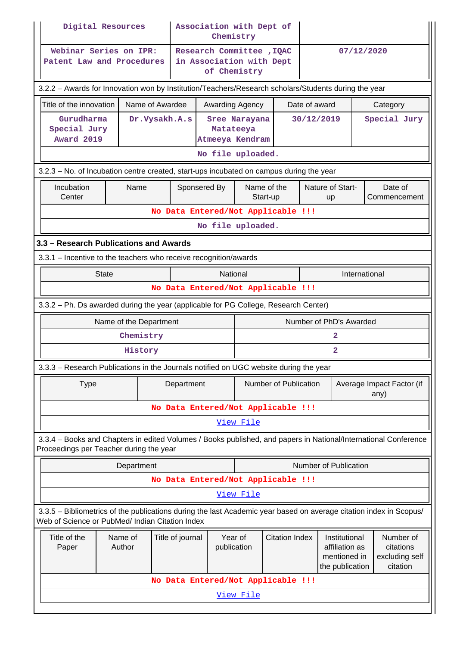| Digital Resources                                                                                                                                                     |                        |                  | Association with Dept of<br>Chemistry                                 |                         |                       |                               |                                                                    |                                                      |
|-----------------------------------------------------------------------------------------------------------------------------------------------------------------------|------------------------|------------------|-----------------------------------------------------------------------|-------------------------|-----------------------|-------------------------------|--------------------------------------------------------------------|------------------------------------------------------|
| Webinar Series on IPR:<br>Patent Law and Procedures                                                                                                                   |                        |                  | Research Committee , IQAC<br>in Association with Dept<br>of Chemistry |                         |                       |                               | 07/12/2020                                                         |                                                      |
| 3.2.2 - Awards for Innovation won by Institution/Teachers/Research scholars/Students during the year                                                                  |                        |                  |                                                                       |                         |                       |                               |                                                                    |                                                      |
| Title of the innovation                                                                                                                                               | Name of Awardee        |                  | Awarding Agency                                                       |                         |                       | Date of award                 |                                                                    | Category                                             |
| Gurudharma<br>Special Jury<br>Award 2019                                                                                                                              | Dr.Vysakh.A.s          |                  | Matateeya<br>Atmeeya Kendram                                          | Sree Narayana           |                       | 30/12/2019                    |                                                                    | Special Jury                                         |
|                                                                                                                                                                       |                        |                  | No file uploaded.                                                     |                         |                       |                               |                                                                    |                                                      |
| 3.2.3 – No. of Incubation centre created, start-ups incubated on campus during the year                                                                               |                        |                  |                                                                       |                         |                       |                               |                                                                    |                                                      |
| Incubation<br>Center                                                                                                                                                  | Name                   |                  | Sponsered By                                                          | Name of the<br>Start-up |                       | Nature of Start-<br><b>up</b> |                                                                    | Date of<br>Commencement                              |
|                                                                                                                                                                       |                        |                  | No Data Entered/Not Applicable !!!                                    |                         |                       |                               |                                                                    |                                                      |
|                                                                                                                                                                       |                        |                  | No file uploaded.                                                     |                         |                       |                               |                                                                    |                                                      |
| 3.3 - Research Publications and Awards                                                                                                                                |                        |                  |                                                                       |                         |                       |                               |                                                                    |                                                      |
| 3.3.1 - Incentive to the teachers who receive recognition/awards                                                                                                      |                        |                  |                                                                       |                         |                       |                               |                                                                    |                                                      |
| <b>State</b>                                                                                                                                                          |                        |                  | National                                                              |                         |                       |                               | International                                                      |                                                      |
|                                                                                                                                                                       |                        |                  | No Data Entered/Not Applicable !!!                                    |                         |                       |                               |                                                                    |                                                      |
| 3.3.2 - Ph. Ds awarded during the year (applicable for PG College, Research Center)                                                                                   |                        |                  |                                                                       |                         |                       |                               |                                                                    |                                                      |
|                                                                                                                                                                       |                        |                  |                                                                       |                         |                       |                               |                                                                    |                                                      |
|                                                                                                                                                                       | Name of the Department |                  |                                                                       |                         |                       | Number of PhD's Awarded       |                                                                    |                                                      |
|                                                                                                                                                                       | Chemistry              |                  |                                                                       |                         |                       | 2                             |                                                                    |                                                      |
|                                                                                                                                                                       | History                |                  |                                                                       |                         |                       | $\mathbf{2}$                  |                                                                    |                                                      |
| 3.3.3 - Research Publications in the Journals notified on UGC website during the year                                                                                 |                        |                  |                                                                       |                         |                       |                               |                                                                    |                                                      |
| <b>Type</b>                                                                                                                                                           |                        | Department       |                                                                       |                         | Number of Publication |                               |                                                                    | Average Impact Factor (if<br>any)                    |
|                                                                                                                                                                       |                        |                  | No Data Entered/Not Applicable !!!                                    |                         |                       |                               |                                                                    |                                                      |
|                                                                                                                                                                       |                        |                  |                                                                       | View File               |                       |                               |                                                                    |                                                      |
| 3.3.4 - Books and Chapters in edited Volumes / Books published, and papers in National/International Conference<br>Proceedings per Teacher during the year            |                        |                  |                                                                       |                         |                       |                               |                                                                    |                                                      |
|                                                                                                                                                                       | Department             |                  |                                                                       |                         |                       | Number of Publication         |                                                                    |                                                      |
|                                                                                                                                                                       |                        |                  | No Data Entered/Not Applicable !!!                                    |                         |                       |                               |                                                                    |                                                      |
|                                                                                                                                                                       |                        |                  |                                                                       | View File               |                       |                               |                                                                    |                                                      |
| 3.3.5 - Bibliometrics of the publications during the last Academic year based on average citation index in Scopus/<br>Web of Science or PubMed/ Indian Citation Index |                        |                  |                                                                       |                         |                       |                               |                                                                    |                                                      |
| Title of the<br>Paper                                                                                                                                                 | Name of<br>Author      | Title of journal | Year of<br>publication                                                |                         | <b>Citation Index</b> |                               | Institutional<br>affiliation as<br>mentioned in<br>the publication | Number of<br>citations<br>excluding self<br>citation |
|                                                                                                                                                                       |                        |                  | No Data Entered/Not Applicable !!!                                    |                         |                       |                               |                                                                    |                                                      |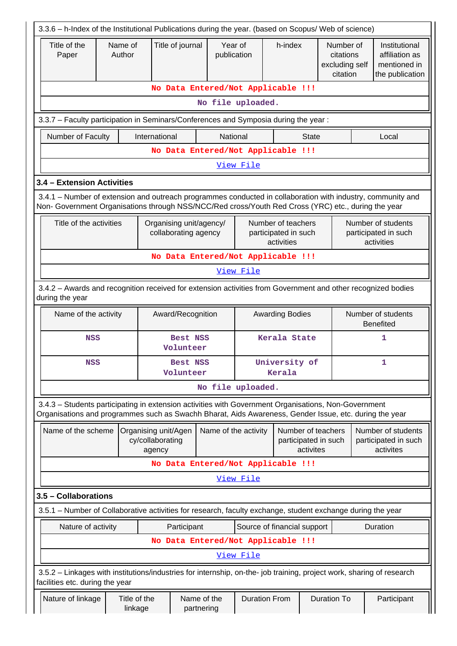| 3.3.6 - h-Index of the Institutional Publications during the year. (based on Scopus/ Web of science)                                                                                                               |                                            |                                                    |                                                 |                           |                      |                                                          |                                                      |  |                                                                    |
|--------------------------------------------------------------------------------------------------------------------------------------------------------------------------------------------------------------------|--------------------------------------------|----------------------------------------------------|-------------------------------------------------|---------------------------|----------------------|----------------------------------------------------------|------------------------------------------------------|--|--------------------------------------------------------------------|
| Title of the<br>Paper                                                                                                                                                                                              | Name of<br>Author                          |                                                    | Title of journal                                | Year of<br>publication    |                      | h-index                                                  | Number of<br>citations<br>excluding self<br>citation |  | Institutional<br>affiliation as<br>mentioned in<br>the publication |
|                                                                                                                                                                                                                    |                                            |                                                    |                                                 |                           |                      | No Data Entered/Not Applicable !!!                       |                                                      |  |                                                                    |
|                                                                                                                                                                                                                    |                                            |                                                    |                                                 |                           | No file uploaded.    |                                                          |                                                      |  |                                                                    |
| 3.3.7 - Faculty participation in Seminars/Conferences and Symposia during the year:                                                                                                                                |                                            |                                                    |                                                 |                           |                      |                                                          |                                                      |  |                                                                    |
| Number of Faculty                                                                                                                                                                                                  |                                            | International                                      |                                                 | National                  |                      | <b>State</b>                                             |                                                      |  | Local                                                              |
|                                                                                                                                                                                                                    |                                            |                                                    |                                                 |                           |                      | No Data Entered/Not Applicable !!!                       |                                                      |  |                                                                    |
|                                                                                                                                                                                                                    |                                            |                                                    |                                                 |                           | View File            |                                                          |                                                      |  |                                                                    |
| 3.4 - Extension Activities                                                                                                                                                                                         |                                            |                                                    |                                                 |                           |                      |                                                          |                                                      |  |                                                                    |
| 3.4.1 - Number of extension and outreach programmes conducted in collaboration with industry, community and<br>Non- Government Organisations through NSS/NCC/Red cross/Youth Red Cross (YRC) etc., during the year |                                            |                                                    |                                                 |                           |                      |                                                          |                                                      |  |                                                                    |
| Title of the activities                                                                                                                                                                                            |                                            |                                                    | Organising unit/agency/<br>collaborating agency |                           |                      | Number of teachers<br>participated in such<br>activities |                                                      |  | Number of students<br>participated in such<br>activities           |
| No Data Entered/Not Applicable !!!                                                                                                                                                                                 |                                            |                                                    |                                                 |                           |                      |                                                          |                                                      |  |                                                                    |
| View File                                                                                                                                                                                                          |                                            |                                                    |                                                 |                           |                      |                                                          |                                                      |  |                                                                    |
| 3.4.2 - Awards and recognition received for extension activities from Government and other recognized bodies<br>during the year                                                                                    |                                            |                                                    |                                                 |                           |                      |                                                          |                                                      |  |                                                                    |
| Name of the activity                                                                                                                                                                                               |                                            |                                                    | Award/Recognition                               |                           |                      | <b>Awarding Bodies</b>                                   |                                                      |  | Number of students<br><b>Benefited</b>                             |
| <b>NSS</b>                                                                                                                                                                                                         | Kerala State<br>1<br>Best NSS<br>Volunteer |                                                    |                                                 |                           |                      |                                                          |                                                      |  |                                                                    |
| <b>NSS</b>                                                                                                                                                                                                         | Volunteer                                  |                                                    |                                                 |                           |                      | University of<br>Best NSS<br>Kerala                      |                                                      |  | 1                                                                  |
|                                                                                                                                                                                                                    |                                            |                                                    |                                                 |                           | No file uploaded.    |                                                          |                                                      |  |                                                                    |
| 3.4.3 - Students participating in extension activities with Government Organisations, Non-Government<br>Organisations and programmes such as Swachh Bharat, Aids Awareness, Gender Issue, etc. during the year     |                                            |                                                    |                                                 |                           |                      |                                                          |                                                      |  |                                                                    |
| Name of the scheme                                                                                                                                                                                                 |                                            | Organising unit/Agen<br>cy/collaborating<br>agency |                                                 | Name of the activity      |                      | Number of teachers<br>participated in such<br>activites  |                                                      |  | Number of students<br>participated in such<br>activites            |
|                                                                                                                                                                                                                    |                                            |                                                    |                                                 |                           |                      | No Data Entered/Not Applicable !!!                       |                                                      |  |                                                                    |
|                                                                                                                                                                                                                    |                                            |                                                    |                                                 |                           | View File            |                                                          |                                                      |  |                                                                    |
| 3.5 - Collaborations                                                                                                                                                                                               |                                            |                                                    |                                                 |                           |                      |                                                          |                                                      |  |                                                                    |
| 3.5.1 – Number of Collaborative activities for research, faculty exchange, student exchange during the year                                                                                                        |                                            |                                                    |                                                 |                           |                      |                                                          |                                                      |  |                                                                    |
| Nature of activity                                                                                                                                                                                                 |                                            |                                                    | Participant                                     |                           |                      | Source of financial support                              |                                                      |  | Duration                                                           |
|                                                                                                                                                                                                                    |                                            |                                                    |                                                 |                           |                      | No Data Entered/Not Applicable !!!                       |                                                      |  |                                                                    |
|                                                                                                                                                                                                                    |                                            |                                                    |                                                 |                           | View File            |                                                          |                                                      |  |                                                                    |
| 3.5.2 - Linkages with institutions/industries for internship, on-the- job training, project work, sharing of research<br>facilities etc. during the year                                                           |                                            |                                                    |                                                 |                           |                      |                                                          |                                                      |  |                                                                    |
| Nature of linkage                                                                                                                                                                                                  | Title of the<br>linkage                    |                                                    |                                                 | Name of the<br>partnering | <b>Duration From</b> |                                                          | <b>Duration To</b>                                   |  | Participant                                                        |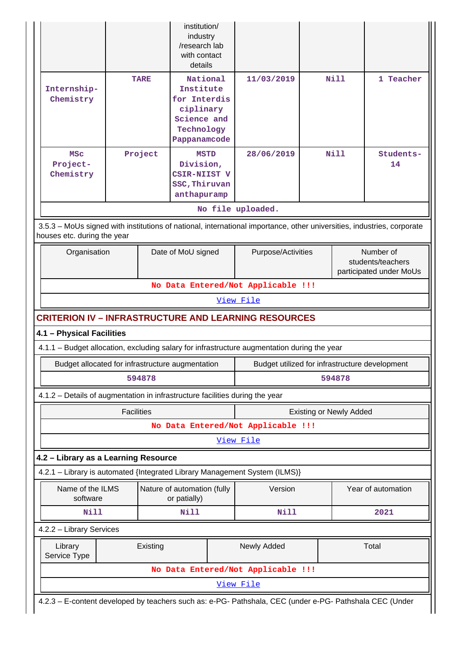|                                                                              |                   |             | institution/<br>industry<br>/research lab<br>with contact<br>details                            |                                                                                                                        |                                |                                                           |
|------------------------------------------------------------------------------|-------------------|-------------|-------------------------------------------------------------------------------------------------|------------------------------------------------------------------------------------------------------------------------|--------------------------------|-----------------------------------------------------------|
| Internship-<br>Chemistry                                                     |                   | <b>TARE</b> | National<br>Institute<br>for Interdis<br>ciplinary<br>Science and<br>Technology<br>Pappanamcode | 11/03/2019                                                                                                             | Nill                           | 1 Teacher                                                 |
| <b>MSC</b><br>Project-<br>Chemistry                                          |                   | Project     | <b>MSTD</b><br>Division,<br>CSIR-NIIST V<br>SSC, Thiruvan<br>anthapuramp                        | 28/06/2019                                                                                                             | Nill                           | Students-<br>14                                           |
|                                                                              |                   |             |                                                                                                 | No file uploaded.                                                                                                      |                                |                                                           |
| houses etc. during the year                                                  |                   |             |                                                                                                 | 3.5.3 - MoUs signed with institutions of national, international importance, other universities, industries, corporate |                                |                                                           |
| Organisation                                                                 |                   |             | Date of MoU signed                                                                              | Purpose/Activities                                                                                                     |                                | Number of<br>students/teachers<br>participated under MoUs |
|                                                                              |                   |             |                                                                                                 | No Data Entered/Not Applicable !!!                                                                                     |                                |                                                           |
|                                                                              |                   |             |                                                                                                 | View File                                                                                                              |                                |                                                           |
|                                                                              |                   |             |                                                                                                 | <b>CRITERION IV - INFRASTRUCTURE AND LEARNING RESOURCES</b>                                                            |                                |                                                           |
| 4.1 - Physical Facilities                                                    |                   |             |                                                                                                 |                                                                                                                        |                                |                                                           |
|                                                                              |                   |             |                                                                                                 | 4.1.1 - Budget allocation, excluding salary for infrastructure augmentation during the year                            |                                |                                                           |
| Budget allocated for infrastructure augmentation                             |                   |             |                                                                                                 | Budget utilized for infrastructure development                                                                         |                                |                                                           |
|                                                                              |                   | 594878      |                                                                                                 |                                                                                                                        | 594878                         |                                                           |
| 4.1.2 – Details of augmentation in infrastructure facilities during the year |                   |             |                                                                                                 |                                                                                                                        |                                |                                                           |
|                                                                              | <b>Facilities</b> |             |                                                                                                 |                                                                                                                        | <b>Existing or Newly Added</b> |                                                           |
|                                                                              |                   |             |                                                                                                 | No Data Entered/Not Applicable !!!                                                                                     |                                |                                                           |
|                                                                              |                   |             |                                                                                                 | View File                                                                                                              |                                |                                                           |
| 4.2 - Library as a Learning Resource                                         |                   |             |                                                                                                 |                                                                                                                        |                                |                                                           |
|                                                                              |                   |             |                                                                                                 | 4.2.1 - Library is automated {Integrated Library Management System (ILMS)}                                             |                                |                                                           |
| Name of the ILMS<br>software                                                 |                   |             | Nature of automation (fully<br>or patially)                                                     | Version                                                                                                                |                                | Year of automation                                        |
| Nill                                                                         |                   |             | Nill                                                                                            | Nill                                                                                                                   |                                | 2021                                                      |
| 4.2.2 - Library Services                                                     |                   |             |                                                                                                 |                                                                                                                        |                                |                                                           |
| Library<br>Service Type                                                      |                   | Existing    |                                                                                                 | Newly Added                                                                                                            |                                | Total                                                     |
|                                                                              |                   |             |                                                                                                 | No Data Entered/Not Applicable !!!                                                                                     |                                |                                                           |
|                                                                              |                   |             |                                                                                                 | View File                                                                                                              |                                |                                                           |
|                                                                              |                   |             |                                                                                                 | 4.2.3 - E-content developed by teachers such as: e-PG- Pathshala, CEC (under e-PG- Pathshala CEC (Under                |                                |                                                           |

Н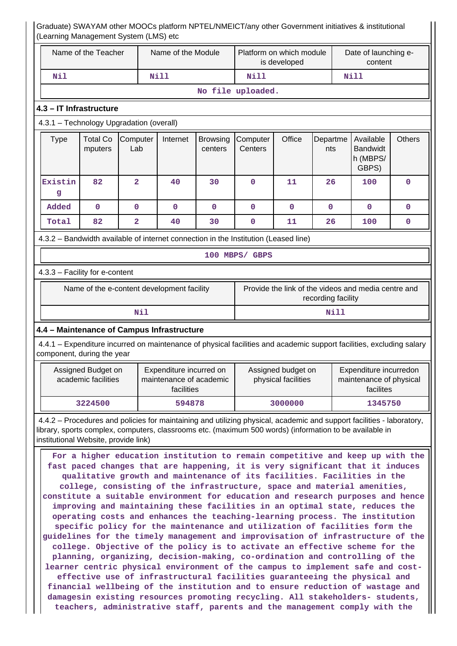#### Graduate) SWAYAM other MOOCs platform NPTEL/NMEICT/any other Government initiatives & institutional (Learning Management System (LMS) etc Name of the Teacher | Name of the Module | Platform on which module is developed Date of launching econtent  **Nil Nill Nill Nill No file uploaded. 4.3 – IT Infrastructure** 4.3.1 – Technology Upgradation (overall) Type | Total Co mputers **Computer** Lab Internet Browsing centers **Computer Centers** Office Departme nts Available Bandwidt h (MBPS/ GBPS) **Others Existin g 82 2 40 30 0 11 26 100 0 Added 0 0 0 0 0 0 0 0 0 Total 82 2 40 30 0 11 26 100 0** 4.3.2 – Bandwidth available of internet connection in the Institution (Leased line) **100 MBPS/ GBPS** 4.3.3 – Facility for e-content Name of the e-content development facility Frovide the link of the videos and media centre and recording facility  **Nil Nill 4.4 – Maintenance of Campus Infrastructure** 4.4.1 – Expenditure incurred on maintenance of physical facilities and academic support facilities, excluding salary component, during the year Assigned Budget on academic facilities Expenditure incurred on maintenance of academic facilities Assigned budget on physical facilities Expenditure incurredon maintenance of physical facilites  **3224500 594878 3000000 1345750** 4.4.2 – Procedures and policies for maintaining and utilizing physical, academic and support facilities - laboratory, library, sports complex, computers, classrooms etc. (maximum 500 words) (information to be available in institutional Website, provide link) **For a higher education institution to remain competitive and keep up with the fast paced changes that are happening, it is very significant that it induces qualitative growth and maintenance of its facilities. Facilities in the college, consisting of the infrastructure, space and material amenities, constitute a suitable environment for education and research purposes and hence improving and maintaining these facilities in an optimal state, reduces the operating costs and enhances the teaching-learning process. The institution specific policy for the maintenance and utilization of facilities form the guidelines for the timely management and improvisation of infrastructure of the college. Objective of the policy is to activate an effective scheme for the planning, organizing, decision-making, co-ordination and controlling of the learner centric physical environment of the campus to implement safe and costeffective use of infrastructural facilities guaranteeing the physical and**

**financial wellbeing of the institution and to ensure reduction of wastage and damagesin existing resources promoting recycling. All stakeholders- students, teachers, administrative staff, parents and the management comply with the**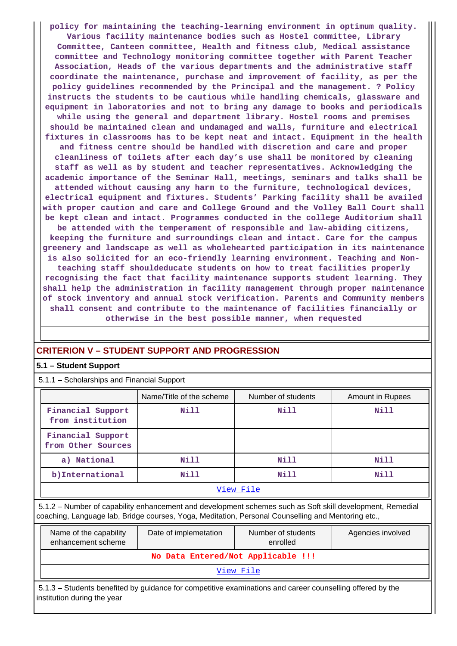**policy for maintaining the teaching-learning environment in optimum quality. Various facility maintenance bodies such as Hostel committee, Library Committee, Canteen committee, Health and fitness club, Medical assistance committee and Technology monitoring committee together with Parent Teacher Association, Heads of the various departments and the administrative staff coordinate the maintenance, purchase and improvement of facility, as per the policy guidelines recommended by the Principal and the management. ? Policy instructs the students to be cautious while handling chemicals, glassware and equipment in laboratories and not to bring any damage to books and periodicals while using the general and department library. Hostel rooms and premises should be maintained clean and undamaged and walls, furniture and electrical fixtures in classrooms has to be kept neat and intact. Equipment in the health and fitness centre should be handled with discretion and care and proper cleanliness of toilets after each day's use shall be monitored by cleaning staff as well as by student and teacher representatives. Acknowledging the academic importance of the Seminar Hall, meetings, seminars and talks shall be attended without causing any harm to the furniture, technological devices, electrical equipment and fixtures. Students' Parking facility shall be availed with proper caution and care and College Ground and the Volley Ball Court shall be kept clean and intact. Programmes conducted in the college Auditorium shall be attended with the temperament of responsible and law-abiding citizens, keeping the furniture and surroundings clean and intact. Care for the campus greenery and landscape as well as wholehearted participation in its maintenance is also solicited for an eco-friendly learning environment. Teaching and Nonteaching staff shouldeducate students on how to treat facilities properly recognising the fact that facility maintenance supports student learning. They shall help the administration in facility management through proper maintenance of stock inventory and annual stock verification. Parents and Community members shall consent and contribute to the maintenance of facilities financially or otherwise in the best possible manner, when requested**

## **CRITERION V – STUDENT SUPPORT AND PROGRESSION**

#### **5.1 – Student Support**

5.1.1 – Scholarships and Financial Support

|                                         | Name/Title of the scheme | Number of students | Amount in Rupees |
|-----------------------------------------|--------------------------|--------------------|------------------|
| Financial Support<br>from institution   | Nill                     | Nill               | Nill             |
| Financial Support<br>from Other Sources |                          |                    |                  |
| a) National                             | Nill                     | Nill               | Nill             |
| b) International                        | Nill                     | Nill               | Nill             |
|                                         |                          | View File          |                  |

 5.1.2 – Number of capability enhancement and development schemes such as Soft skill development, Remedial coaching, Language lab, Bridge courses, Yoga, Meditation, Personal Counselling and Mentoring etc.,

| Name of the capability<br>enhancement scheme                                                                                             | Date of implemetation | Number of students<br>enrolled | Agencies involved |  |  |  |  |
|------------------------------------------------------------------------------------------------------------------------------------------|-----------------------|--------------------------------|-------------------|--|--|--|--|
| No Data Entered/Not Applicable !!!                                                                                                       |                       |                                |                   |  |  |  |  |
| View File                                                                                                                                |                       |                                |                   |  |  |  |  |
| 5.1.3 – Students benefited by guidance for competitive examinations and career counselling offered by the<br>institution during the year |                       |                                |                   |  |  |  |  |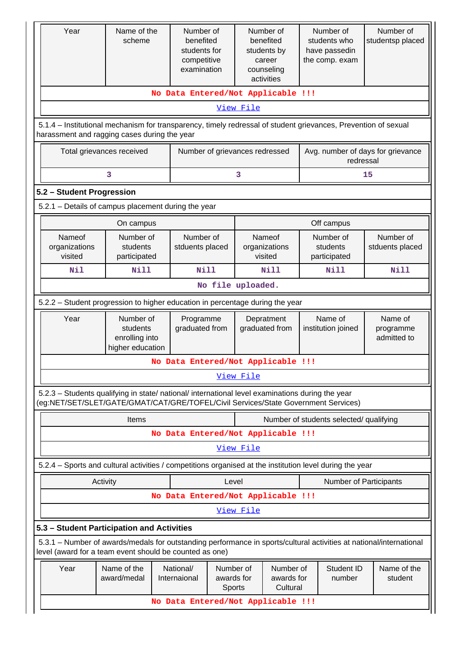| Year                                                                                                                                                                                   | Name of the<br>scheme                                       | Number of<br>benefited<br>students for<br>competitive<br>examination | Number of<br>benefited<br>students by<br>career<br>counseling<br>activities | Number of<br>students who<br>have passedin<br>the comp. exam | Number of<br>studentsp placed       |  |  |  |
|----------------------------------------------------------------------------------------------------------------------------------------------------------------------------------------|-------------------------------------------------------------|----------------------------------------------------------------------|-----------------------------------------------------------------------------|--------------------------------------------------------------|-------------------------------------|--|--|--|
|                                                                                                                                                                                        |                                                             | No Data Entered/Not Applicable !!!                                   |                                                                             |                                                              |                                     |  |  |  |
|                                                                                                                                                                                        |                                                             |                                                                      | View File                                                                   |                                                              |                                     |  |  |  |
| 5.1.4 – Institutional mechanism for transparency, timely redressal of student grievances, Prevention of sexual<br>harassment and ragging cases during the year                         |                                                             |                                                                      |                                                                             |                                                              |                                     |  |  |  |
|                                                                                                                                                                                        | Total grievances received                                   | Number of grievances redressed                                       |                                                                             | Avg. number of days for grievance<br>redressal               |                                     |  |  |  |
|                                                                                                                                                                                        | 3                                                           |                                                                      | 3                                                                           |                                                              | 15                                  |  |  |  |
|                                                                                                                                                                                        | 5.2 - Student Progression                                   |                                                                      |                                                                             |                                                              |                                     |  |  |  |
| 5.2.1 - Details of campus placement during the year                                                                                                                                    |                                                             |                                                                      |                                                                             |                                                              |                                     |  |  |  |
|                                                                                                                                                                                        | On campus                                                   |                                                                      |                                                                             | Off campus                                                   |                                     |  |  |  |
| Nameof<br>organizations<br>visited                                                                                                                                                     | Number of<br>students<br>participated                       | Number of<br>stduents placed                                         | Nameof<br>organizations<br>visited                                          | Number of<br>students<br>participated                        | Number of<br>stduents placed        |  |  |  |
| Nil                                                                                                                                                                                    | <b>Nill</b>                                                 | <b>Nill</b>                                                          | Nill                                                                        | <b>Nill</b>                                                  | Nill                                |  |  |  |
|                                                                                                                                                                                        |                                                             |                                                                      | No file uploaded.                                                           |                                                              |                                     |  |  |  |
| 5.2.2 - Student progression to higher education in percentage during the year                                                                                                          |                                                             |                                                                      |                                                                             |                                                              |                                     |  |  |  |
| Year                                                                                                                                                                                   | Number of<br>students<br>enrolling into<br>higher education | Programme<br>graduated from                                          | Depratment<br>graduated from                                                | Name of<br>institution joined                                | Name of<br>programme<br>admitted to |  |  |  |
|                                                                                                                                                                                        |                                                             | No Data Entered/Not Applicable !!!                                   |                                                                             |                                                              |                                     |  |  |  |
|                                                                                                                                                                                        |                                                             |                                                                      | View File                                                                   |                                                              |                                     |  |  |  |
| 5.2.3 - Students qualifying in state/ national/ international level examinations during the year<br>(eg:NET/SET/SLET/GATE/GMAT/CAT/GRE/TOFEL/Civil Services/State Government Services) |                                                             |                                                                      |                                                                             |                                                              |                                     |  |  |  |
|                                                                                                                                                                                        | <b>Items</b>                                                |                                                                      |                                                                             | Number of students selected/ qualifying                      |                                     |  |  |  |
|                                                                                                                                                                                        |                                                             | No Data Entered/Not Applicable !!!                                   |                                                                             |                                                              |                                     |  |  |  |
|                                                                                                                                                                                        |                                                             |                                                                      | View File                                                                   |                                                              |                                     |  |  |  |
| 5.2.4 – Sports and cultural activities / competitions organised at the institution level during the year                                                                               |                                                             |                                                                      |                                                                             |                                                              |                                     |  |  |  |
| Activity                                                                                                                                                                               |                                                             |                                                                      | Level                                                                       | Number of Participants                                       |                                     |  |  |  |
|                                                                                                                                                                                        |                                                             | No Data Entered/Not Applicable !!!                                   |                                                                             |                                                              |                                     |  |  |  |
|                                                                                                                                                                                        |                                                             |                                                                      | View File                                                                   |                                                              |                                     |  |  |  |
| 5.3 - Student Participation and Activities                                                                                                                                             |                                                             |                                                                      |                                                                             |                                                              |                                     |  |  |  |
| 5.3.1 – Number of awards/medals for outstanding performance in sports/cultural activities at national/international<br>level (award for a team event should be counted as one)         |                                                             |                                                                      |                                                                             |                                                              |                                     |  |  |  |
| Year                                                                                                                                                                                   | Name of the<br>award/medal                                  | National/<br>Number of<br>awards for<br>Internaional<br>Sports       | Number of<br>awards for<br>Cultural                                         | Student ID<br>number                                         | Name of the<br>student              |  |  |  |
|                                                                                                                                                                                        |                                                             | No Data Entered/Not Applicable !!!                                   |                                                                             |                                                              |                                     |  |  |  |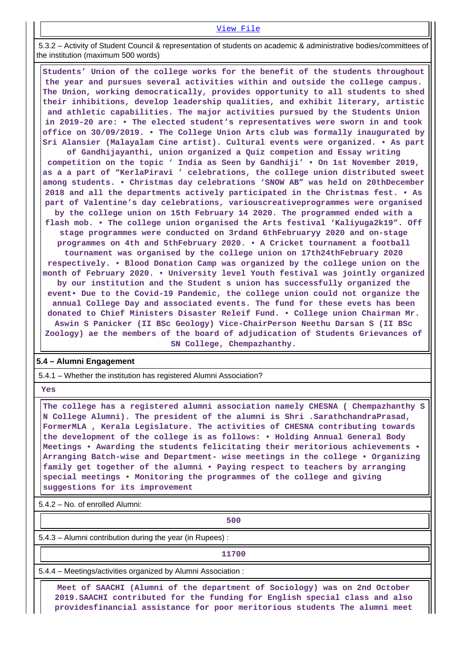#### [View File](https://assessmentonline.naac.gov.in/public/Postacc/awards_in_activities/12352_awards_in_activities_1629304552.xlsx)

 5.3.2 – Activity of Student Council & representation of students on academic & administrative bodies/committees of the institution (maximum 500 words)

 **Students' Union of the college works for the benefit of the students throughout the year and pursues several activities within and outside the college campus. The Union, working democratically, provides opportunity to all students to shed their inhibitions, develop leadership qualities, and exhibit literary, artistic and athletic capabilities. The major activities pursued by the Students Union in 2019-20 are: • The elected student's representatives were sworn in and took office on 30/09/2019. • The College Union Arts club was formally inaugurated by Sri Alansier (Malayalam Cine artist). Cultural events were organized. • As part**

**of Gandhijayanthi, union organized a Quiz competion and Essay writing competition on the topic ' India as Seen by Gandhiji' • On 1st November 2019, as a a part of "KerlaPiravi ' celebrations, the college union distributed sweet among students. • Christmas day celebrations 'SNOW AB" was held on 20thDecember 2018 and all the departments actively participated in the Christmas fest. • As part of Valentine's day celebrations, variouscreativeprogrammes were organised by the college union on 15th February 14 2020. The programmed ended with a flash mob. • The college union organised the Arts festival 'Kaliyuga2k19". Off stage programmes were conducted on 3rdand 6thFebruaryy 2020 and on-stage programmes on 4th and 5thFebruary 2020. • A Cricket tournament a football tournament was organised by the college union on 17th24thFebruary 2020 respectively. • Blood Donation Camp was organized by the college union on the month of February 2020. • University level Youth festival was jointly organized by our institution and the Student s union has successfully organized the event• Due to the Covid-19 Pandemic, the college union could not organize the annual College Day and associated events. The fund for these evets has been donated to Chief Ministers Disaster Releif Fund. • College union Chairman Mr. Aswin S Panicker (II BSc Geology) Vice-ChairPerson Neethu Darsan S (II BSc Zoology) ae the members of the board of adjudication of Students Grievances of SN College, Chempazhanthy.**

#### **5.4 – Alumni Engagement**

5.4.1 – Whether the institution has registered Alumni Association?

 **Yes**

 **The college has a registered alumni association namely CHESNA ( Chempazhanthy S N College Alumni). The president of the alumni is Shri .SarathchandraPrasad, FormerMLA , Kerala Legislature. The activities of CHESNA contributing towards the development of the college is as follows: • Holding Annual General Body Meetings • Awarding the students felicitating their meritorious achievements • Arranging Batch-wise and Department- wise meetings in the college • Organizing family get together of the alumni • Paying respect to teachers by arranging special meetings • Monitoring the programmes of the college and giving suggestions for its improvement**

5.4.2 – No. of enrolled Alumni:

**1 500** 

5.4.3 – Alumni contribution during the year (in Rupees) :

**11700**

5.4.4 – Meetings/activities organized by Alumni Association :

 **Meet of SAACHI (Alumni of the department of Sociology) was on 2nd October 2019.SAACHI contributed for the funding for English special class and also providesfinancial assistance for poor meritorious students The alumni meet**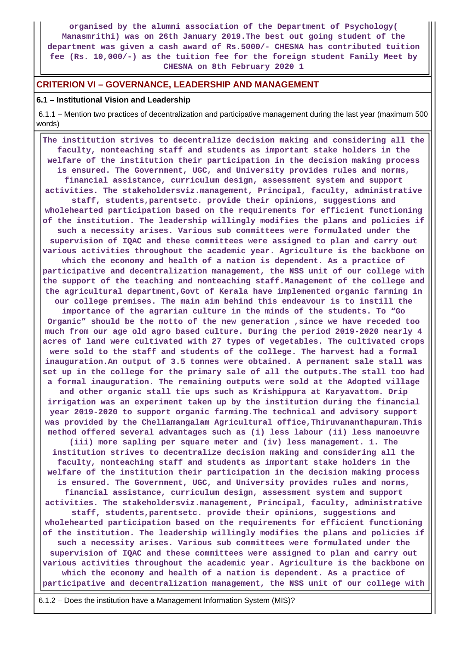**organised by the alumni association of the Department of Psychology( Manasmrithi) was on 26th January 2019.The best out going student of the department was given a cash award of Rs.5000/- CHESNA has contributed tuition fee (Rs. 10,000/-) as the tuition fee for the foreign student Family Meet by CHESNA on 8th February 2020 1**

#### **CRITERION VI – GOVERNANCE, LEADERSHIP AND MANAGEMENT**

#### **6.1 – Institutional Vision and Leadership**

 6.1.1 – Mention two practices of decentralization and participative management during the last year (maximum 500 words)

 **The institution strives to decentralize decision making and considering all the faculty, nonteaching staff and students as important stake holders in the welfare of the institution their participation in the decision making process is ensured. The Government, UGC, and University provides rules and norms, financial assistance, curriculum design, assessment system and support activities. The stakeholdersviz.management, Principal, faculty, administrative staff, students,parentsetc. provide their opinions, suggestions and wholehearted participation based on the requirements for efficient functioning of the institution. The leadership willingly modifies the plans and policies if such a necessity arises. Various sub committees were formulated under the supervision of IQAC and these committees were assigned to plan and carry out various activities throughout the academic year. Agriculture is the backbone on which the economy and health of a nation is dependent. As a practice of participative and decentralization management, the NSS unit of our college with the support of the teaching and nonteaching staff.Management of the college and the agricultural department,Govt of Kerala have implemented organic farming in our college premises. The main aim behind this endeavour is to instill the importance of the agrarian culture in the minds of the students. To "Go Organic" should be the motto of the new generation ,since we have receded too much from our age old agro based culture. During the period 2019-2020 nearly 4 acres of land were cultivated with 27 types of vegetables. The cultivated crops were sold to the staff and students of the college. The harvest had a formal inauguration.An output of 3.5 tonnes were obtained. A permanent sale stall was set up in the college for the primary sale of all the outputs.The stall too had a formal inauguration. The remaining outputs were sold at the Adopted village and other organic stall tie ups such as Krishippura at Karyavattom. Drip irrigation was an experiment taken up by the institution during the financial year 2019-2020 to support organic farming.The technical and advisory support was provided by the Chellamangalam Agricultural office,Thiruvananthapuram.This method offered several advantages such as (i) less labour (ii) less manoeuvre (iii) more sapling per square meter and (iv) less management. 1. The institution strives to decentralize decision making and considering all the faculty, nonteaching staff and students as important stake holders in the welfare of the institution their participation in the decision making process is ensured. The Government, UGC, and University provides rules and norms, financial assistance, curriculum design, assessment system and support activities. The stakeholdersviz.management, Principal, faculty, administrative staff, students,parentsetc. provide their opinions, suggestions and wholehearted participation based on the requirements for efficient functioning of the institution. The leadership willingly modifies the plans and policies if such a necessity arises. Various sub committees were formulated under the supervision of IQAC and these committees were assigned to plan and carry out various activities throughout the academic year. Agriculture is the backbone on which the economy and health of a nation is dependent. As a practice of participative and decentralization management, the NSS unit of our college with**

6.1.2 – Does the institution have a Management Information System (MIS)?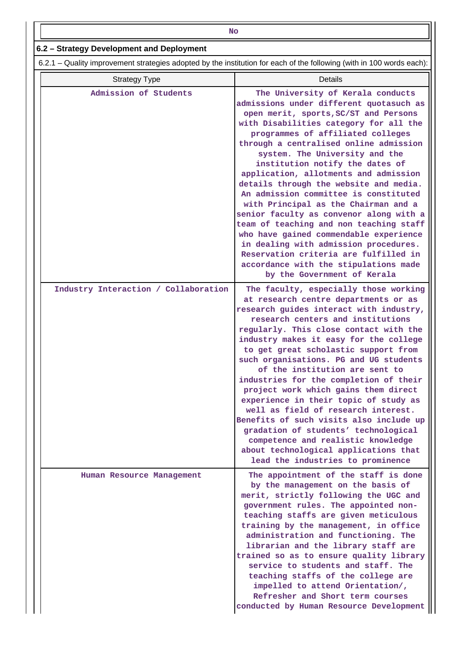| NΟ                                        |
|-------------------------------------------|
| 6.2 – Strategy Development and Deployment |
|                                           |

 $6.2 -$ 

|  |  | 6.2.1 – Quality improvement strategies adopted by the institution for each of the following (with in 100 words each): |  |  |
|--|--|-----------------------------------------------------------------------------------------------------------------------|--|--|
|--|--|-----------------------------------------------------------------------------------------------------------------------|--|--|

| <b>Strategy Type</b>                 | Details                                                                                                                                                                                                                                                                                                                                                                                                                                                                                                                                                                                                                                                                                                                                                                           |
|--------------------------------------|-----------------------------------------------------------------------------------------------------------------------------------------------------------------------------------------------------------------------------------------------------------------------------------------------------------------------------------------------------------------------------------------------------------------------------------------------------------------------------------------------------------------------------------------------------------------------------------------------------------------------------------------------------------------------------------------------------------------------------------------------------------------------------------|
| Admission of Students                | The University of Kerala conducts<br>admissions under different quotasuch as<br>open merit, sports, SC/ST and Persons<br>with Disabilities category for all the<br>programmes of affiliated colleges<br>through a centralised online admission<br>system. The University and the<br>institution notify the dates of<br>application, allotments and admission<br>details through the website and media.<br>An admission committee is constituted<br>with Principal as the Chairman and a<br>senior faculty as convenor along with a<br>team of teaching and non teaching staff<br>who have gained commendable experience<br>in dealing with admission procedures.<br>Reservation criteria are fulfilled in<br>accordance with the stipulations made<br>by the Government of Kerala |
| Industry Interaction / Collaboration | The faculty, especially those working<br>at research centre departments or as<br>research guides interact with industry,<br>research centers and institutions<br>regularly. This close contact with the<br>industry makes it easy for the college<br>to get great scholastic support from<br>such organisations. PG and UG students<br>of the institution are sent to<br>industries for the completion of their<br>project work which gains them direct<br>experience in their topic of study as<br>well as field of research interest.<br>Benefits of such visits also include up<br>gradation of students' technological<br>competence and realistic knowledge<br>about technological applications that<br>lead the industries to prominence                                    |
| Human Resource Management            | The appointment of the staff is done<br>by the management on the basis of<br>merit, strictly following the UGC and<br>government rules. The appointed non-<br>teaching staffs are given meticulous<br>training by the management, in office<br>administration and functioning. The<br>librarian and the library staff are<br>trained so as to ensure quality library<br>service to students and staff. The<br>teaching staffs of the college are<br>impelled to attend Orientation/,<br>Refresher and Short term courses<br>conducted by Human Resource Development                                                                                                                                                                                                               |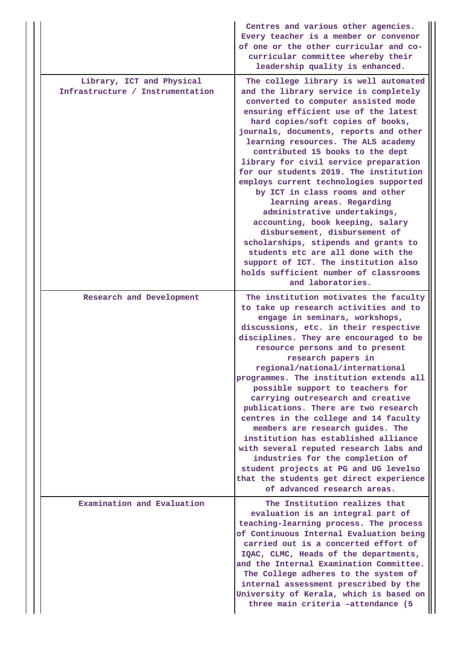|                                                               | Centres and various other agencies.<br>Every teacher is a member or convenor<br>of one or the other curricular and co-<br>curricular committee whereby their<br>leadership quality is enhanced.                                                                                                                                                                                                                                                                                                                                                                                                                                                                                                                                                                                                               |
|---------------------------------------------------------------|---------------------------------------------------------------------------------------------------------------------------------------------------------------------------------------------------------------------------------------------------------------------------------------------------------------------------------------------------------------------------------------------------------------------------------------------------------------------------------------------------------------------------------------------------------------------------------------------------------------------------------------------------------------------------------------------------------------------------------------------------------------------------------------------------------------|
| Library, ICT and Physical<br>Infrastructure / Instrumentation | The college library is well automated<br>and the library service is completely<br>converted to computer assisted mode<br>ensuring efficient use of the latest<br>hard copies/soft copies of books,<br>journals, documents, reports and other<br>learning resources. The ALS academy<br>contributed 15 books to the dept<br>library for civil service preparation<br>for our students 2019. The institution<br>employs current technologies supported<br>by ICT in class rooms and other<br>learning areas. Regarding<br>administrative undertakings,<br>accounting, book keeping, salary<br>disbursement, disbursement of<br>scholarships, stipends and grants to<br>students etc are all done with the<br>support of ICT. The institution also<br>holds sufficient number of classrooms<br>and laboratories. |
| Research and Development                                      | The institution motivates the faculty<br>to take up research activities and to<br>engage in seminars, workshops,<br>discussions, etc. in their respective<br>disciplines. They are encouraged to be<br>resource persons and to present<br>research papers in<br>regional/national/international<br>programmes. The institution extends all<br>possible support to teachers for<br>carrying outresearch and creative<br>publications. There are two research<br>centres in the college and 14 faculty<br>members are research guides. The<br>institution has established alliance<br>with several reputed research labs and<br>industries for the completion of<br>student projects at PG and UG levelso<br>that the students get direct experience<br>of advanced research areas.                             |
| Examination and Evaluation                                    | The Institution realizes that<br>evaluation is an integral part of<br>teaching-learning process. The process<br>of Continuous Internal Evaluation being<br>carried out is a concerted effort of<br>IQAC, CLMC, Heads of the departments,<br>and the Internal Examination Committee.<br>The College adheres to the system of<br>internal assessment prescribed by the<br>University of Kerala, which is based on<br>three main criteria -attendance (5                                                                                                                                                                                                                                                                                                                                                         |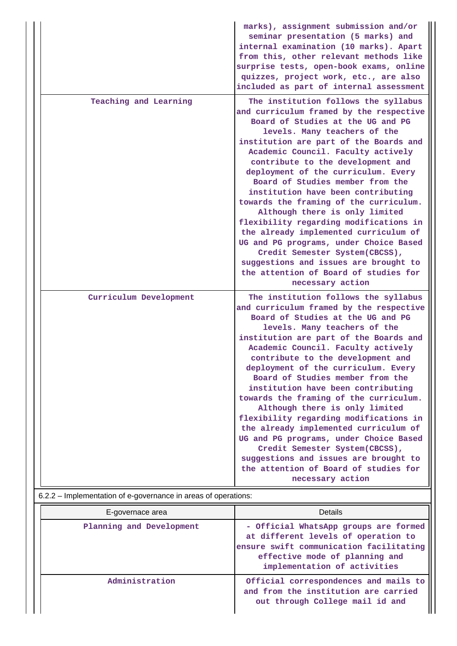| Teaching and Learning<br>The institution follows the syllabus<br>and curriculum framed by the respective<br>Board of Studies at the UG and PG<br>levels. Many teachers of the<br>institution are part of the Boards and<br>Academic Council. Faculty actively<br>contribute to the development and<br>deployment of the curriculum. Every<br>Board of Studies member from the<br>institution have been contributing<br>towards the framing of the curriculum.<br>Although there is only limited                                                                                                                                                                                                                                                                                                                                         |  |
|-----------------------------------------------------------------------------------------------------------------------------------------------------------------------------------------------------------------------------------------------------------------------------------------------------------------------------------------------------------------------------------------------------------------------------------------------------------------------------------------------------------------------------------------------------------------------------------------------------------------------------------------------------------------------------------------------------------------------------------------------------------------------------------------------------------------------------------------|--|
| flexibility regarding modifications in<br>the already implemented curriculum of<br>UG and PG programs, under Choice Based<br>Credit Semester System(CBCSS),<br>suggestions and issues are brought to<br>the attention of Board of studies for<br>necessary action                                                                                                                                                                                                                                                                                                                                                                                                                                                                                                                                                                       |  |
| Curriculum Development<br>The institution follows the syllabus<br>and curriculum framed by the respective<br>Board of Studies at the UG and PG<br>levels. Many teachers of the<br>institution are part of the Boards and<br>Academic Council. Faculty actively<br>contribute to the development and<br>deployment of the curriculum. Every<br>Board of Studies member from the<br>institution have been contributing<br>towards the framing of the curriculum.<br>Although there is only limited<br>flexibility regarding modifications in<br>the already implemented curriculum of<br>UG and PG programs, under Choice Based<br>Credit Semester System(CBCSS),<br>suggestions and issues are brought to<br>the attention of Board of studies for<br>necessary action<br>6.2.2 - Implementation of e-governance in areas of operations: |  |

| E-governace area         | Details                                                                                                                                                                                   |
|--------------------------|-------------------------------------------------------------------------------------------------------------------------------------------------------------------------------------------|
| Planning and Development | - Official WhatsApp groups are formed<br>at different levels of operation to<br>ensure swift communication facilitating<br>effective mode of planning and<br>implementation of activities |
| Administration           | Official correspondences and mails to<br>and from the institution are carried<br>out through College mail id and                                                                          |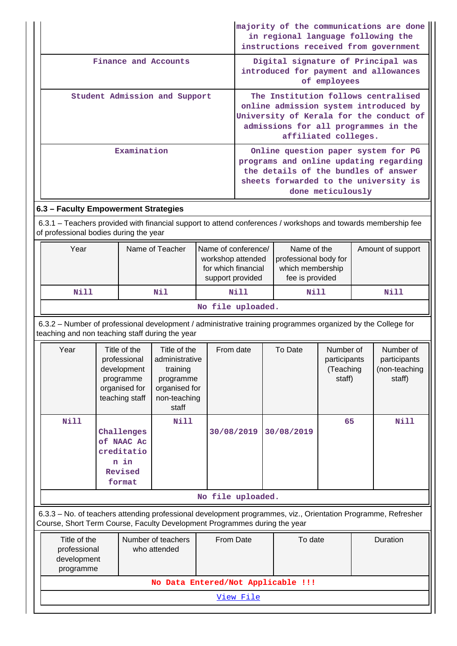|                               | majority of the communications are done<br>in regional language following the<br>instructions received from government                                                                  |
|-------------------------------|-----------------------------------------------------------------------------------------------------------------------------------------------------------------------------------------|
| Finance and Accounts          | Digital signature of Principal was<br>introduced for payment and allowances<br>of employees                                                                                             |
| Student Admission and Support | The Institution follows centralised<br>online admission system introduced by<br>University of Kerala for the conduct of<br>admissions for all programmes in the<br>affiliated colleges. |
| Examination                   | Online question paper system for PG<br>programs and online updating regarding<br>the details of the bundles of answer<br>sheets forwarded to the university is<br>done meticulously     |

# **6.3 – Faculty Empowerment Strategies**

 6.3.1 – Teachers provided with financial support to attend conferences / workshops and towards membership fee of professional bodies during the year

| Year | Name of Teacher           | Name of conference/<br>workshop attended<br>for which financial<br>support provided | Name of the<br>professional body for<br>which membership<br>fee is provided | Amount of support |  |  |
|------|---------------------------|-------------------------------------------------------------------------------------|-----------------------------------------------------------------------------|-------------------|--|--|
| Nill | Nil                       | Nill                                                                                | Nill                                                                        | Nill              |  |  |
|      | メディー・バス スーパー・シー・スーパー スーパー |                                                                                     |                                                                             |                   |  |  |

**No file uploaded.**

 6.3.2 – Number of professional development / administrative training programmes organized by the College for teaching and non teaching staff during the year

| Year                                                                                                          | Title of the<br>professional<br>development<br>programme<br>organised for<br>teaching staff | Title of the<br>administrative<br>training<br>programme<br>organised for<br>non-teaching<br>staff | From date  | To Date    | Number of<br>participants<br>(Teaching<br>staff) | Number of<br>participants<br>(non-teaching<br>staff) |  |
|---------------------------------------------------------------------------------------------------------------|---------------------------------------------------------------------------------------------|---------------------------------------------------------------------------------------------------|------------|------------|--------------------------------------------------|------------------------------------------------------|--|
| <b>Nill</b>                                                                                                   | Challenges<br>of NAAC Ac<br>creditatio<br>n in<br>Revised<br>format                         | Nill                                                                                              | 30/08/2019 | 30/08/2019 | 65                                               | Nill                                                 |  |
| No file uploaded.                                                                                             |                                                                                             |                                                                                                   |            |            |                                                  |                                                      |  |
| 6.3.3 - No. of teachers attending professional development programmes, viz., Orientation Programme, Refresher |                                                                                             |                                                                                                   |            |            |                                                  |                                                      |  |

Course, Short Term Course, Faculty Development Programmes during the year

| Title of the<br>professional<br>development<br>programme | Number of teachers<br>who attended | <b>From Date</b>                   | To date | Duration |  |  |
|----------------------------------------------------------|------------------------------------|------------------------------------|---------|----------|--|--|
|                                                          |                                    | No Data Entered/Not Applicable !!! |         |          |  |  |
|                                                          | View File                          |                                    |         |          |  |  |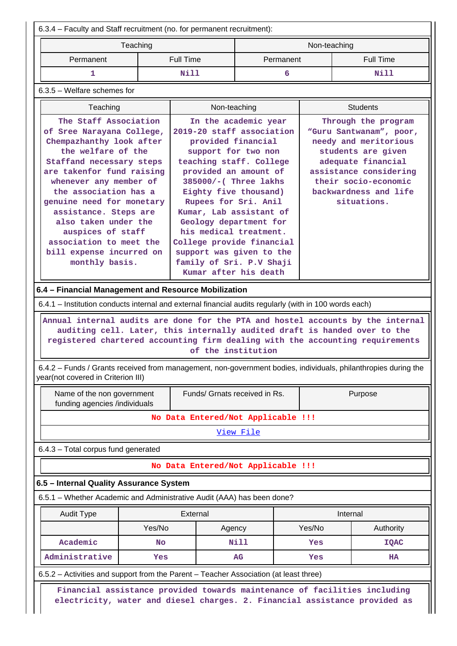6.3.4 – Faculty and Staff recruitment (no. for permanent recruitment): Teaching Non-teaching Non-teaching Permanent | Full Time | Permanent | Full Time  **1 Nill 6 Nill** 6.3.5 – Welfare schemes for

| Teaching                                                                                                                                                                                                                                                                                                                                                                                     | Non-teaching                                                                                                                                                                                                                                                                                                                                                                                                             | <b>Students</b>                                                                                                                                                                                               |
|----------------------------------------------------------------------------------------------------------------------------------------------------------------------------------------------------------------------------------------------------------------------------------------------------------------------------------------------------------------------------------------------|--------------------------------------------------------------------------------------------------------------------------------------------------------------------------------------------------------------------------------------------------------------------------------------------------------------------------------------------------------------------------------------------------------------------------|---------------------------------------------------------------------------------------------------------------------------------------------------------------------------------------------------------------|
| The Staff Association<br>of Sree Narayana College,<br>Chempazhanthy look after<br>the welfare of the<br>Staffand necessary steps<br>are takenfor fund raising<br>whenever any member of<br>the association has a<br>genuine need for monetary<br>assistance. Steps are<br>also taken under the<br>auspices of staff<br>association to meet the<br>bill expense incurred on<br>monthly basis. | In the academic year<br>2019-20 staff association<br>provided financial<br>support for two non<br>teaching staff. College<br>provided an amount of<br>385000/-(Three lakhs<br>Eighty five thousand)<br>Rupees for Sri. Anil<br>Kumar, Lab assistant of<br>Geology department for<br>his medical treatment.<br>College provide financial<br>support was given to the<br>family of Sri. P.V Shaji<br>Kumar after his death | Through the program<br>"Guru Santwanam", poor,<br>needy and meritorious<br>students are given<br>adequate financial<br>assistance considering<br>their socio-economic<br>backwardness and life<br>situations. |

#### **6.4 – Financial Management and Resource Mobilization**

6.4.1 – Institution conducts internal and external financial audits regularly (with in 100 words each)

 **Annual internal audits are done for the PTA and hostel accounts by the internal auditing cell. Later, this internally audited draft is handed over to the registered chartered accounting firm dealing with the accounting requirements of the institution**

 6.4.2 – Funds / Grants received from management, non-government bodies, individuals, philanthropies during the year(not covered in Criterion III)

| Name of the non government<br>funding agencies /individuals | Funds/ Grnats received in Rs. | Purpose |  |  |
|-------------------------------------------------------------|-------------------------------|---------|--|--|
| No Data Entered/Not Applicable !!!                          |                               |         |  |  |
| View File                                                   |                               |         |  |  |
| $6.4.3$ – Total corpus fund generated                       |                               |         |  |  |
| No Data Entered/Not Applicable !!!                          |                               |         |  |  |
|                                                             |                               |         |  |  |

## **6.5 – Internal Quality Assurance System**

6.5.1 – Whether Academic and Administrative Audit (AAA) has been done?

| Audit Type     | External         |      | Internal |             |
|----------------|------------------|------|----------|-------------|
|                | Yes/No<br>Agency |      | Yes/No   | Authority   |
| Academic       | No               | Nill | Yes      | <b>IQAC</b> |
| Administrative | AG<br>Yes        |      | Yes      | <b>HA</b>   |

6.5.2 – Activities and support from the Parent – Teacher Association (at least three)

 **Financial assistance provided towards maintenance of facilities including electricity, water and diesel charges. 2. Financial assistance provided as**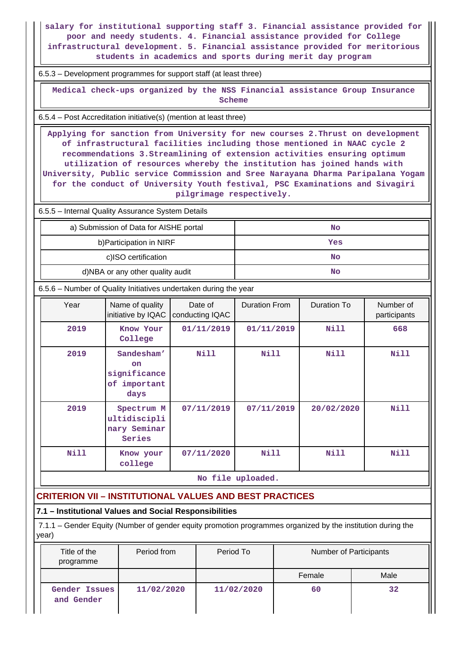**salary for institutional supporting staff 3. Financial assistance provided for poor and needy students. 4. Financial assistance provided for College infrastructural development. 5. Financial assistance provided for meritorious students in academics and sports during merit day program**

6.5.3 – Development programmes for support staff (at least three)

 **Medical check-ups organized by the NSS Financial assistance Group Insurance Scheme**

6.5.4 – Post Accreditation initiative(s) (mention at least three)

 **Applying for sanction from University for new courses 2.Thrust on development of infrastructural facilities including those mentioned in NAAC cycle 2 recommendations 3.Streamlining of extension activities ensuring optimum utilization of resources whereby the institution has joined hands with University, Public service Commission and Sree Narayana Dharma Paripalana Yogam for the conduct of University Youth festival, PSC Examinations and Sivagiri pilgrimage respectively.**

6.5.5 – Internal Quality Assurance System Details

| a) Submission of Data for AISHE portal | No  |
|----------------------------------------|-----|
| b) Participation in NIRF               | Yes |
| c)ISO certification                    | No  |
| d)NBA or any other quality audit       | No  |

6.5.6 – Number of Quality Initiatives undertaken during the year

| Year | Name of quality<br>initiative by IQAC                    | Date of<br>conducting IQAC | <b>Duration From</b> | Duration To | Number of<br>participants |
|------|----------------------------------------------------------|----------------------------|----------------------|-------------|---------------------------|
| 2019 | Know Your<br>College                                     | 01/11/2019                 | 01/11/2019           | Nill        | 668                       |
| 2019 | Sandesham'<br>on<br>significance<br>of important<br>days | Nill                       | Nill                 | Nill        | Nill                      |
| 2019 | Spectrum M<br>ultidiscipli<br>nary Seminar<br>Series     | 07/11/2019                 | 07/11/2019           | 20/02/2020  | <b>Nill</b>               |
| Nill | Know your<br>college                                     | 07/11/2020                 | <b>Nill</b>          | Nill        | Nill                      |

**No file uploaded.**

# **CRITERION VII – INSTITUTIONAL VALUES AND BEST PRACTICES**

### **7.1 – Institutional Values and Social Responsibilities**

 7.1.1 – Gender Equity (Number of gender equity promotion programmes organized by the institution during the year)

| Title of the<br>programme   | Period from | Period To  | Number of Participants |      |
|-----------------------------|-------------|------------|------------------------|------|
|                             |             |            | Female                 | Male |
| Gender Issues<br>and Gender | 11/02/2020  | 11/02/2020 | 60                     | 32   |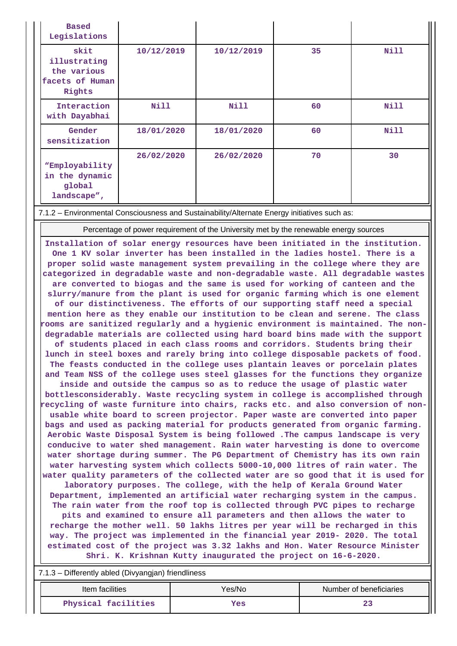| <b>Based</b><br>Legislations                                     |            |            |    |      |
|------------------------------------------------------------------|------------|------------|----|------|
| skit<br>illustrating<br>the various<br>facets of Human<br>Rights | 10/12/2019 | 10/12/2019 | 35 | Nill |
| Interaction<br>with Dayabhai                                     | Nill       | Nill       | 60 | Nill |
| Gender<br>sensitization                                          | 18/01/2020 | 18/01/2020 | 60 | Nill |
| "Employability<br>in the dynamic<br>global<br>landscape",        | 26/02/2020 | 26/02/2020 | 70 | 30   |

7.1.2 – Environmental Consciousness and Sustainability/Alternate Energy initiatives such as:

Percentage of power requirement of the University met by the renewable energy sources

**Installation of solar energy resources have been initiated in the institution. One 1 KV solar inverter has been installed in the ladies hostel. There is a proper solid waste management system prevailing in the college where they are categorized in degradable waste and non-degradable waste. All degradable wastes are converted to biogas and the same is used for working of canteen and the slurry/manure from the plant is used for organic farming which is one element of our distinctiveness. The efforts of our supporting staff need a special mention here as they enable our institution to be clean and serene. The class rooms are sanitized regularly and a hygienic environment is maintained. The nondegradable materials are collected using hard board bins made with the support of students placed in each class rooms and corridors. Students bring their lunch in steel boxes and rarely bring into college disposable packets of food. The feasts conducted in the college uses plantain leaves or porcelain plates and Team NSS of the college uses steel glasses for the functions they organize inside and outside the campus so as to reduce the usage of plastic water bottlesconsiderably. Waste recycling system in college is accomplished through recycling of waste furniture into chairs, racks etc. and also conversion of nonusable white board to screen projector. Paper waste are converted into paper bags and used as packing material for products generated from organic farming. Aerobic Waste Disposal System is being followed .The campus landscape is very conducive to water shed management. Rain water harvesting is done to overcome water shortage during summer. The PG Department of Chemistry has its own rain water harvesting system which collects 5000-10,000 litres of rain water. The water quality parameters of the collected water are so good that it is used for laboratory purposes. The college, with the help of Kerala Ground Water Department, implemented an artificial water recharging system in the campus. The rain water from the roof top is collected through PVC pipes to recharge pits and examined to ensure all parameters and then allows the water to recharge the mother well. 50 lakhs litres per year will be recharged in this way. The project was implemented in the financial year 2019- 2020. The total estimated cost of the project was 3.32 lakhs and Hon. Water Resource Minister Shri. K. Krishnan Kutty inaugurated the project on 16-6-2020.**

7.1.3 – Differently abled (Divyangjan) friendliness

| Item facilities     | Yes/No | Number of beneficiaries |
|---------------------|--------|-------------------------|
| Physical facilities | Yes    | 43                      |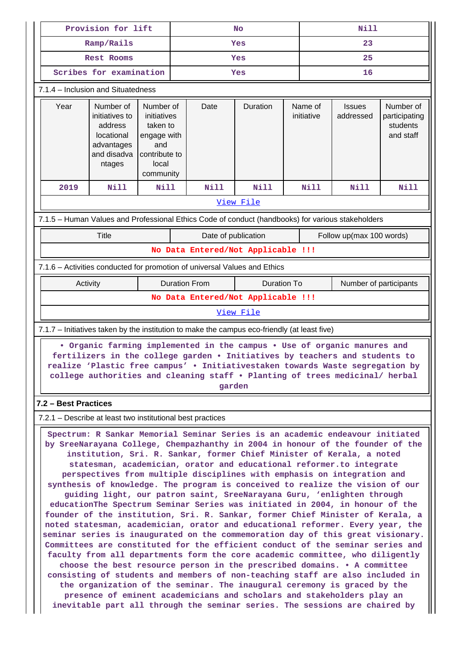|                                                                                                                                                                                                                                                                                                                                    | Provision for lift                                                                                                                                                                                                                                                                                                                                                                                                                                                                                                                                                                                                                                                                                                                                                                                                                                                                                                                                                                                                                                                                                                                                                                                                                                                                                                                                                                                                                                                 |                                                            |      | <b>No</b>           |                      |                                                                           | <b>Nill</b>           |                            |                                                     |      |  |  |  |
|------------------------------------------------------------------------------------------------------------------------------------------------------------------------------------------------------------------------------------------------------------------------------------------------------------------------------------|--------------------------------------------------------------------------------------------------------------------------------------------------------------------------------------------------------------------------------------------------------------------------------------------------------------------------------------------------------------------------------------------------------------------------------------------------------------------------------------------------------------------------------------------------------------------------------------------------------------------------------------------------------------------------------------------------------------------------------------------------------------------------------------------------------------------------------------------------------------------------------------------------------------------------------------------------------------------------------------------------------------------------------------------------------------------------------------------------------------------------------------------------------------------------------------------------------------------------------------------------------------------------------------------------------------------------------------------------------------------------------------------------------------------------------------------------------------------|------------------------------------------------------------|------|---------------------|----------------------|---------------------------------------------------------------------------|-----------------------|----------------------------|-----------------------------------------------------|------|--|--|--|
|                                                                                                                                                                                                                                                                                                                                    | Ramp/Rails                                                                                                                                                                                                                                                                                                                                                                                                                                                                                                                                                                                                                                                                                                                                                                                                                                                                                                                                                                                                                                                                                                                                                                                                                                                                                                                                                                                                                                                         |                                                            |      | Yes                 |                      |                                                                           |                       | 23                         |                                                     |      |  |  |  |
|                                                                                                                                                                                                                                                                                                                                    | <b>Rest Rooms</b>                                                                                                                                                                                                                                                                                                                                                                                                                                                                                                                                                                                                                                                                                                                                                                                                                                                                                                                                                                                                                                                                                                                                                                                                                                                                                                                                                                                                                                                  |                                                            |      |                     | Yes                  |                                                                           |                       | 25                         |                                                     |      |  |  |  |
|                                                                                                                                                                                                                                                                                                                                    | Scribes for examination                                                                                                                                                                                                                                                                                                                                                                                                                                                                                                                                                                                                                                                                                                                                                                                                                                                                                                                                                                                                                                                                                                                                                                                                                                                                                                                                                                                                                                            |                                                            |      | Yes                 |                      |                                                                           |                       | 16                         |                                                     |      |  |  |  |
|                                                                                                                                                                                                                                                                                                                                    |                                                                                                                                                                                                                                                                                                                                                                                                                                                                                                                                                                                                                                                                                                                                                                                                                                                                                                                                                                                                                                                                                                                                                                                                                                                                                                                                                                                                                                                                    | 7.1.4 – Inclusion and Situatedness                         |      |                     |                      |                                                                           |                       |                            |                                                     |      |  |  |  |
|                                                                                                                                                                                                                                                                                                                                    | Year<br>Number of<br>Number of<br>initiatives to<br>initiatives<br>address<br>taken to<br>locational<br>engage with<br>advantages<br>and<br>and disadva<br>contribute to<br>local<br>ntages<br>community                                                                                                                                                                                                                                                                                                                                                                                                                                                                                                                                                                                                                                                                                                                                                                                                                                                                                                                                                                                                                                                                                                                                                                                                                                                           |                                                            |      | Date                | Duration             |                                                                           | Name of<br>initiative | <b>Issues</b><br>addressed | Number of<br>participating<br>students<br>and staff |      |  |  |  |
|                                                                                                                                                                                                                                                                                                                                    | 2019                                                                                                                                                                                                                                                                                                                                                                                                                                                                                                                                                                                                                                                                                                                                                                                                                                                                                                                                                                                                                                                                                                                                                                                                                                                                                                                                                                                                                                                               | <b>Nill</b>                                                | Nill |                     | Nill                 | <b>Nill</b>                                                               |                       | <b>Nill</b>                | Nill                                                | Nill |  |  |  |
|                                                                                                                                                                                                                                                                                                                                    | View File                                                                                                                                                                                                                                                                                                                                                                                                                                                                                                                                                                                                                                                                                                                                                                                                                                                                                                                                                                                                                                                                                                                                                                                                                                                                                                                                                                                                                                                          |                                                            |      |                     |                      |                                                                           |                       |                            |                                                     |      |  |  |  |
| 7.1.5 - Human Values and Professional Ethics Code of conduct (handbooks) for various stakeholders                                                                                                                                                                                                                                  |                                                                                                                                                                                                                                                                                                                                                                                                                                                                                                                                                                                                                                                                                                                                                                                                                                                                                                                                                                                                                                                                                                                                                                                                                                                                                                                                                                                                                                                                    |                                                            |      |                     |                      |                                                                           |                       |                            |                                                     |      |  |  |  |
|                                                                                                                                                                                                                                                                                                                                    | <b>Title</b>                                                                                                                                                                                                                                                                                                                                                                                                                                                                                                                                                                                                                                                                                                                                                                                                                                                                                                                                                                                                                                                                                                                                                                                                                                                                                                                                                                                                                                                       |                                                            |      | Date of publication |                      |                                                                           |                       | Follow up(max 100 words)   |                                                     |      |  |  |  |
|                                                                                                                                                                                                                                                                                                                                    |                                                                                                                                                                                                                                                                                                                                                                                                                                                                                                                                                                                                                                                                                                                                                                                                                                                                                                                                                                                                                                                                                                                                                                                                                                                                                                                                                                                                                                                                    |                                                            |      |                     |                      | No Data Entered/Not Applicable !!!                                        |                       |                            |                                                     |      |  |  |  |
|                                                                                                                                                                                                                                                                                                                                    |                                                                                                                                                                                                                                                                                                                                                                                                                                                                                                                                                                                                                                                                                                                                                                                                                                                                                                                                                                                                                                                                                                                                                                                                                                                                                                                                                                                                                                                                    |                                                            |      |                     |                      | 7.1.6 - Activities conducted for promotion of universal Values and Ethics |                       |                            |                                                     |      |  |  |  |
|                                                                                                                                                                                                                                                                                                                                    | Activity                                                                                                                                                                                                                                                                                                                                                                                                                                                                                                                                                                                                                                                                                                                                                                                                                                                                                                                                                                                                                                                                                                                                                                                                                                                                                                                                                                                                                                                           |                                                            |      |                     | <b>Duration From</b> | Duration To                                                               |                       | Number of participants     |                                                     |      |  |  |  |
|                                                                                                                                                                                                                                                                                                                                    | No Data Entered/Not Applicable !!!                                                                                                                                                                                                                                                                                                                                                                                                                                                                                                                                                                                                                                                                                                                                                                                                                                                                                                                                                                                                                                                                                                                                                                                                                                                                                                                                                                                                                                 |                                                            |      |                     |                      |                                                                           |                       |                            |                                                     |      |  |  |  |
| View File                                                                                                                                                                                                                                                                                                                          |                                                                                                                                                                                                                                                                                                                                                                                                                                                                                                                                                                                                                                                                                                                                                                                                                                                                                                                                                                                                                                                                                                                                                                                                                                                                                                                                                                                                                                                                    |                                                            |      |                     |                      |                                                                           |                       |                            |                                                     |      |  |  |  |
| 7.1.7 – Initiatives taken by the institution to make the campus eco-friendly (at least five)                                                                                                                                                                                                                                       |                                                                                                                                                                                                                                                                                                                                                                                                                                                                                                                                                                                                                                                                                                                                                                                                                                                                                                                                                                                                                                                                                                                                                                                                                                                                                                                                                                                                                                                                    |                                                            |      |                     |                      |                                                                           |                       |                            |                                                     |      |  |  |  |
| • Organic farming implemented in the campus • Use of organic manures and<br>fertilizers in the college garden . Initiatives by teachers and students to<br>realize 'Plastic free campus' . Initiativestaken towards Waste segregation by<br>college authorities and cleaning staff . Planting of trees medicinal/ herbal<br>garden |                                                                                                                                                                                                                                                                                                                                                                                                                                                                                                                                                                                                                                                                                                                                                                                                                                                                                                                                                                                                                                                                                                                                                                                                                                                                                                                                                                                                                                                                    |                                                            |      |                     |                      |                                                                           |                       |                            |                                                     |      |  |  |  |
|                                                                                                                                                                                                                                                                                                                                    | 7.2 - Best Practices                                                                                                                                                                                                                                                                                                                                                                                                                                                                                                                                                                                                                                                                                                                                                                                                                                                                                                                                                                                                                                                                                                                                                                                                                                                                                                                                                                                                                                               |                                                            |      |                     |                      |                                                                           |                       |                            |                                                     |      |  |  |  |
|                                                                                                                                                                                                                                                                                                                                    |                                                                                                                                                                                                                                                                                                                                                                                                                                                                                                                                                                                                                                                                                                                                                                                                                                                                                                                                                                                                                                                                                                                                                                                                                                                                                                                                                                                                                                                                    | 7.2.1 – Describe at least two institutional best practices |      |                     |                      |                                                                           |                       |                            |                                                     |      |  |  |  |
|                                                                                                                                                                                                                                                                                                                                    | Spectrum: R Sankar Memorial Seminar Series is an academic endeavour initiated<br>by SreeNarayana College, Chempazhanthy in 2004 in honour of the founder of the<br>institution, Sri. R. Sankar, former Chief Minister of Kerala, a noted<br>statesman, academician, orator and educational reformer.to integrate<br>perspectives from multiple disciplines with emphasis on integration and<br>synthesis of knowledge. The program is conceived to realize the vision of our<br>guiding light, our patron saint, SreeNarayana Guru, 'enlighten through<br>educationThe Spectrum Seminar Series was initiated in 2004, in honour of the<br>founder of the institution, Sri. R. Sankar, former Chief Minister of Kerala, a<br>noted statesman, academician, orator and educational reformer. Every year, the<br>seminar series is inaugurated on the commemoration day of this great visionary.<br>Committees are constituted for the efficient conduct of the seminar series and<br>faculty from all departments form the core academic committee, who diligently<br>choose the best resource person in the prescribed domains. . A committee<br>consisting of students and members of non-teaching staff are also included in<br>the organization of the seminar. The inaugural ceremony is graced by the<br>presence of eminent academicians and scholars and stakeholders play an<br>inevitable part all through the seminar series. The sessions are chaired by |                                                            |      |                     |                      |                                                                           |                       |                            |                                                     |      |  |  |  |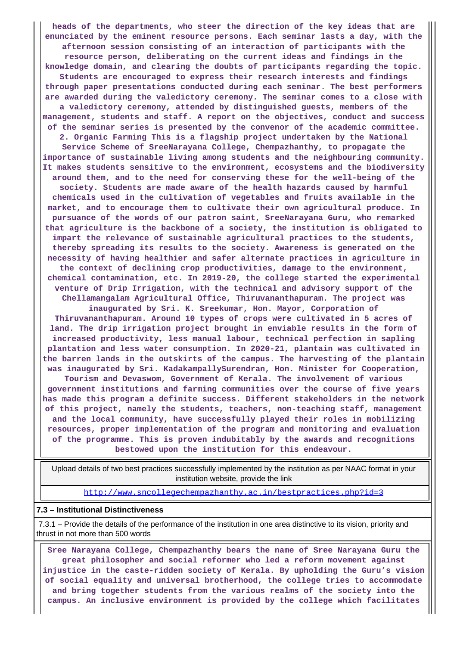**heads of the departments, who steer the direction of the key ideas that are enunciated by the eminent resource persons. Each seminar lasts a day, with the afternoon session consisting of an interaction of participants with the resource person, deliberating on the current ideas and findings in the knowledge domain, and clearing the doubts of participants regarding the topic. Students are encouraged to express their research interests and findings through paper presentations conducted during each seminar. The best performers are awarded during the valedictory ceremony. The seminar comes to a close with a valedictory ceremony, attended by distinguished guests, members of the management, students and staff. A report on the objectives, conduct and success of the seminar series is presented by the convenor of the academic committee. 2. Organic Farming This is a flagship project undertaken by the National Service Scheme of SreeNarayana College, Chempazhanthy, to propagate the importance of sustainable living among students and the neighbouring community. It makes students sensitive to the environment, ecosystems and the biodiversity around them, and to the need for conserving these for the well-being of the society. Students are made aware of the health hazards caused by harmful chemicals used in the cultivation of vegetables and fruits available in the market, and to encourage them to cultivate their own agricultural produce. In pursuance of the words of our patron saint, SreeNarayana Guru, who remarked that agriculture is the backbone of a society, the institution is obligated to impart the relevance of sustainable agricultural practices to the students, thereby spreading its results to the society. Awareness is generated on the necessity of having healthier and safer alternate practices in agriculture in the context of declining crop productivities, damage to the environment, chemical contamination, etc. In 2019-20, the college started the experimental venture of Drip Irrigation, with the technical and advisory support of the Chellamangalam Agricultural Office, Thiruvananthapuram. The project was inaugurated by Sri. K. Sreekumar, Hon. Mayor, Corporation of Thiruvananthapuram. Around 10 types of crops were cultivated in 5 acres of land. The drip irrigation project brought in enviable results in the form of increased productivity, less manual labour, technical perfection in sapling plantation and less water consumption. In 2020-21, plantain was cultivated in the barren lands in the outskirts of the campus. The harvesting of the plantain was inaugurated by Sri. KadakampallySurendran, Hon. Minister for Cooperation, Tourism and Devaswom, Government of Kerala. The involvement of various government institutions and farming communities over the course of five years has made this program a definite success. Different stakeholders in the network of this project, namely the students, teachers, non-teaching staff, management and the local community, have successfully played their roles in mobilizing resources, proper implementation of the program and monitoring and evaluation of the programme. This is proven indubitably by the awards and recognitions bestowed upon the institution for this endeavour.**

 Upload details of two best practices successfully implemented by the institution as per NAAC format in your institution website, provide the link

<http://www.sncollegechempazhanthy.ac.in/bestpractices.php?id=3>

#### **7.3 – Institutional Distinctiveness**

 7.3.1 – Provide the details of the performance of the institution in one area distinctive to its vision, priority and thrust in not more than 500 words

 **Sree Narayana College, Chempazhanthy bears the name of Sree Narayana Guru the great philosopher and social reformer who led a reform movement against injustice in the caste-ridden society of Kerala. By upholding the Guru's vision of social equality and universal brotherhood, the college tries to accommodate and bring together students from the various realms of the society into the campus. An inclusive environment is provided by the college which facilitates**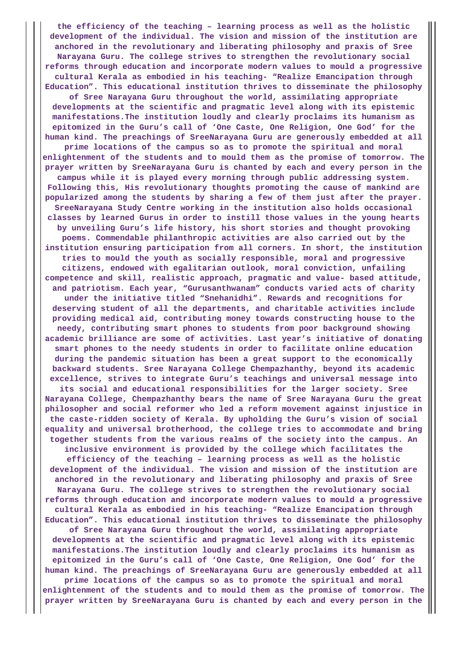**the efficiency of the teaching – learning process as well as the holistic development of the individual. The vision and mission of the institution are anchored in the revolutionary and liberating philosophy and praxis of Sree Narayana Guru. The college strives to strengthen the revolutionary social reforms through education and incorporate modern values to mould a progressive cultural Kerala as embodied in his teaching- "Realize Emancipation through Education". This educational institution thrives to disseminate the philosophy of Sree Narayana Guru throughout the world, assimilating appropriate developments at the scientific and pragmatic level along with its epistemic manifestations.The institution loudly and clearly proclaims its humanism as epitomized in the Guru's call of 'One Caste, One Religion, One God' for the human kind. The preachings of SreeNarayana Guru are generously embedded at all prime locations of the campus so as to promote the spiritual and moral enlightenment of the students and to mould them as the promise of tomorrow. The prayer written by SreeNarayana Guru is chanted by each and every person in the campus while it is played every morning through public addressing system. Following this, His revolutionary thoughts promoting the cause of mankind are popularized among the students by sharing a few of them just after the prayer. SreeNarayana Study Centre working in the institution also holds occasional classes by learned Gurus in order to instill those values in the young hearts by unveiling Guru's life history, his short stories and thought provoking poems. Commendable philanthropic activities are also carried out by the institution ensuring participation from all corners. In short, the institution tries to mould the youth as socially responsible, moral and progressive citizens, endowed with egalitarian outlook, moral conviction, unfailing competence and skill, realistic approach, pragmatic and value- based attitude, and patriotism. Each year, "Gurusanthwanam" conducts varied acts of charity under the initiative titled "Snehanidhi". Rewards and recognitions for deserving student of all the departments, and charitable activities include providing medical aid, contributing money towards constructing house to the needy, contributing smart phones to students from poor background showing academic brilliance are some of activities. Last year's initiative of donating smart phones to the needy students in order to facilitate online education during the pandemic situation has been a great support to the economically backward students. Sree Narayana College Chempazhanthy, beyond its academic excellence, strives to integrate Guru's teachings and universal message into its social and educational responsibilities for the larger society. Sree Narayana College, Chempazhanthy bears the name of Sree Narayana Guru the great philosopher and social reformer who led a reform movement against injustice in the caste-ridden society of Kerala. By upholding the Guru's vision of social equality and universal brotherhood, the college tries to accommodate and bring together students from the various realms of the society into the campus. An inclusive environment is provided by the college which facilitates the efficiency of the teaching – learning process as well as the holistic development of the individual. The vision and mission of the institution are anchored in the revolutionary and liberating philosophy and praxis of Sree Narayana Guru. The college strives to strengthen the revolutionary social reforms through education and incorporate modern values to mould a progressive cultural Kerala as embodied in his teaching- "Realize Emancipation through Education". This educational institution thrives to disseminate the philosophy of Sree Narayana Guru throughout the world, assimilating appropriate developments at the scientific and pragmatic level along with its epistemic manifestations.The institution loudly and clearly proclaims its humanism as epitomized in the Guru's call of 'One Caste, One Religion, One God' for the human kind. The preachings of SreeNarayana Guru are generously embedded at all**

**prime locations of the campus so as to promote the spiritual and moral enlightenment of the students and to mould them as the promise of tomorrow. The prayer written by SreeNarayana Guru is chanted by each and every person in the**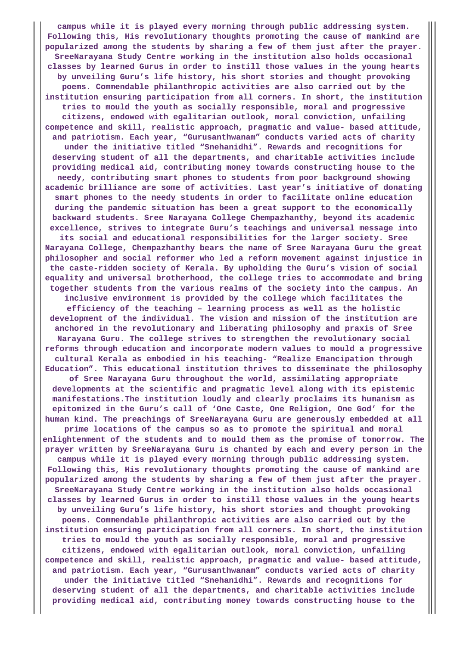**campus while it is played every morning through public addressing system. Following this, His revolutionary thoughts promoting the cause of mankind are popularized among the students by sharing a few of them just after the prayer. SreeNarayana Study Centre working in the institution also holds occasional classes by learned Gurus in order to instill those values in the young hearts by unveiling Guru's life history, his short stories and thought provoking poems. Commendable philanthropic activities are also carried out by the institution ensuring participation from all corners. In short, the institution tries to mould the youth as socially responsible, moral and progressive citizens, endowed with egalitarian outlook, moral conviction, unfailing competence and skill, realistic approach, pragmatic and value- based attitude, and patriotism. Each year, "Gurusanthwanam" conducts varied acts of charity under the initiative titled "Snehanidhi". Rewards and recognitions for deserving student of all the departments, and charitable activities include providing medical aid, contributing money towards constructing house to the needy, contributing smart phones to students from poor background showing academic brilliance are some of activities. Last year's initiative of donating smart phones to the needy students in order to facilitate online education during the pandemic situation has been a great support to the economically backward students. Sree Narayana College Chempazhanthy, beyond its academic excellence, strives to integrate Guru's teachings and universal message into its social and educational responsibilities for the larger society. Sree Narayana College, Chempazhanthy bears the name of Sree Narayana Guru the great philosopher and social reformer who led a reform movement against injustice in the caste-ridden society of Kerala. By upholding the Guru's vision of social equality and universal brotherhood, the college tries to accommodate and bring together students from the various realms of the society into the campus. An inclusive environment is provided by the college which facilitates the efficiency of the teaching – learning process as well as the holistic development of the individual. The vision and mission of the institution are anchored in the revolutionary and liberating philosophy and praxis of Sree Narayana Guru. The college strives to strengthen the revolutionary social reforms through education and incorporate modern values to mould a progressive cultural Kerala as embodied in his teaching- "Realize Emancipation through Education". This educational institution thrives to disseminate the philosophy of Sree Narayana Guru throughout the world, assimilating appropriate developments at the scientific and pragmatic level along with its epistemic manifestations.The institution loudly and clearly proclaims its humanism as epitomized in the Guru's call of 'One Caste, One Religion, One God' for the human kind. The preachings of SreeNarayana Guru are generously embedded at all prime locations of the campus so as to promote the spiritual and moral enlightenment of the students and to mould them as the promise of tomorrow. The prayer written by SreeNarayana Guru is chanted by each and every person in the campus while it is played every morning through public addressing system. Following this, His revolutionary thoughts promoting the cause of mankind are popularized among the students by sharing a few of them just after the prayer. SreeNarayana Study Centre working in the institution also holds occasional classes by learned Gurus in order to instill those values in the young hearts by unveiling Guru's life history, his short stories and thought provoking poems. Commendable philanthropic activities are also carried out by the institution ensuring participation from all corners. In short, the institution tries to mould the youth as socially responsible, moral and progressive citizens, endowed with egalitarian outlook, moral conviction, unfailing competence and skill, realistic approach, pragmatic and value- based attitude, and patriotism. Each year, "Gurusanthwanam" conducts varied acts of charity under the initiative titled "Snehanidhi". Rewards and recognitions for deserving student of all the departments, and charitable activities include providing medical aid, contributing money towards constructing house to the**